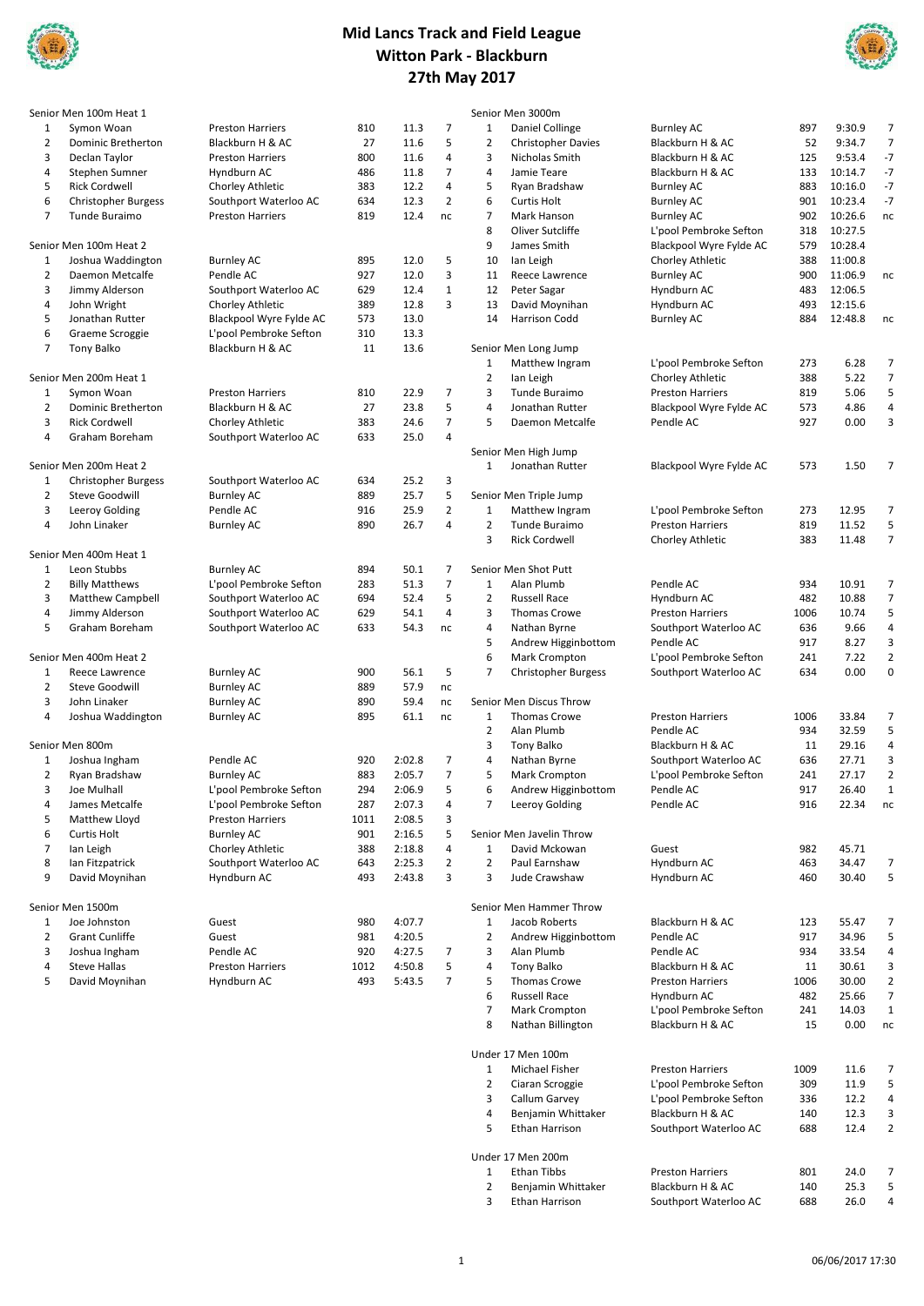



|                | Senior Men 100m Heat 1     |                         |      |        |                |                | Senior Men 3000m           |                         |      |         |                |
|----------------|----------------------------|-------------------------|------|--------|----------------|----------------|----------------------------|-------------------------|------|---------|----------------|
| 1              | Symon Woan                 | <b>Preston Harriers</b> | 810  | 11.3   | 7              | 1              | Daniel Collinge            | <b>Burnley AC</b>       | 897  | 9:30.9  | 7              |
| $\overline{2}$ | Dominic Bretherton         | Blackburn H & AC        | 27   | 11.6   | 5              | $\overline{2}$ | <b>Christopher Davies</b>  | Blackburn H & AC        | 52   | 9:34.7  | $\overline{7}$ |
| 3              | Declan Taylor              | <b>Preston Harriers</b> | 800  | 11.6   | 4              | 3              | Nicholas Smith             | Blackburn H & AC        | 125  | 9:53.4  | $-7$           |
| 4              | Stephen Sumner             | Hyndburn AC             | 486  | 11.8   | $\overline{7}$ | $\overline{4}$ | Jamie Teare                | Blackburn H & AC        | 133  | 10:14.7 | $-7$           |
| 5              | <b>Rick Cordwell</b>       | Chorley Athletic        | 383  | 12.2   | 4              | 5              | Ryan Bradshaw              | <b>Burnley AC</b>       | 883  | 10:16.0 | $-7$           |
| 6              | <b>Christopher Burgess</b> | Southport Waterloo AC   | 634  | 12.3   | $\overline{2}$ | 6              | <b>Curtis Holt</b>         | <b>Burnley AC</b>       | 901  | 10:23.4 | $-7$           |
| 7              | Tunde Buraimo              | <b>Preston Harriers</b> | 819  | 12.4   | nc             | $\overline{7}$ | Mark Hanson                | <b>Burnley AC</b>       | 902  | 10:26.6 | nc             |
|                |                            |                         |      |        |                | 8              | Oliver Sutcliffe           | L'pool Pembroke Sefton  | 318  | 10:27.5 |                |
|                | Senior Men 100m Heat 2     |                         |      |        |                | 9              | James Smith                | Blackpool Wyre Fylde AC | 579  | 10:28.4 |                |
| 1              | Joshua Waddington          | <b>Burnley AC</b>       | 895  | 12.0   | 5              | 10             | lan Leigh                  | Chorley Athletic        | 388  | 11:00.8 |                |
| $\overline{2}$ | Daemon Metcalfe            | Pendle AC               | 927  | 12.0   | 3              | 11             | Reece Lawrence             | <b>Burnley AC</b>       | 900  | 11:06.9 | nc             |
| 3              | Jimmy Alderson             | Southport Waterloo AC   | 629  | 12.4   | $\mathbf 1$    | 12             | Peter Sagar                | Hyndburn AC             | 483  | 12:06.5 |                |
| 4              | John Wright                | Chorley Athletic        | 389  | 12.8   | 3              | 13             | David Moynihan             | Hyndburn AC             | 493  | 12:15.6 |                |
| 5              | Jonathan Rutter            | Blackpool Wyre Fylde AC | 573  | 13.0   |                | 14             | Harrison Codd              | <b>Burnley AC</b>       | 884  | 12:48.8 | nc             |
| 6              | Graeme Scroggie            | L'pool Pembroke Sefton  | 310  | 13.3   |                |                |                            |                         |      |         |                |
| 7              | <b>Tony Balko</b>          | Blackburn H & AC        | 11   | 13.6   |                |                | Senior Men Long Jump       |                         |      |         |                |
|                |                            |                         |      |        |                | $\mathbf{1}$   | Matthew Ingram             | L'pool Pembroke Sefton  | 273  | 6.28    | 7              |
|                | Senior Men 200m Heat 1     |                         |      |        |                | 2              | lan Leigh                  | Chorley Athletic        | 388  | 5.22    | $\overline{7}$ |
| $\mathbf{1}$   | Symon Woan                 | <b>Preston Harriers</b> | 810  | 22.9   | $\overline{7}$ | 3              | Tunde Buraimo              | <b>Preston Harriers</b> | 819  | 5.06    | 5              |
| 2              | Dominic Bretherton         | Blackburn H & AC        | 27   | 23.8   | 5              | 4              | Jonathan Rutter            | Blackpool Wyre Fylde AC | 573  | 4.86    | 4              |
| 3              | <b>Rick Cordwell</b>       | Chorley Athletic        | 383  | 24.6   | $\overline{7}$ | 5              | Daemon Metcalfe            | Pendle AC               | 927  | 0.00    | 3              |
| 4              | Graham Boreham             | Southport Waterloo AC   | 633  | 25.0   | 4              |                |                            |                         |      |         |                |
|                |                            |                         |      |        |                |                | Senior Men High Jump       |                         |      |         |                |
|                | Senior Men 200m Heat 2     |                         |      |        |                | $\mathbf{1}$   | Jonathan Rutter            | Blackpool Wyre Fylde AC | 573  | 1.50    | 7              |
| 1              | Christopher Burgess        | Southport Waterloo AC   | 634  | 25.2   | 3              |                |                            |                         |      |         |                |
| $\overline{2}$ | Steve Goodwill             | <b>Burnley AC</b>       | 889  | 25.7   | 5              |                | Senior Men Triple Jump     |                         |      |         |                |
| 3              | Leeroy Golding             | Pendle AC               | 916  | 25.9   | $\overline{2}$ | $\mathbf 1$    | Matthew Ingram             | L'pool Pembroke Sefton  | 273  | 12.95   | 7              |
| 4              | John Linaker               | <b>Burnley AC</b>       | 890  | 26.7   | 4              | $\overline{2}$ | Tunde Buraimo              | <b>Preston Harriers</b> | 819  | 11.52   | 5              |
|                |                            |                         |      |        |                | 3              | <b>Rick Cordwell</b>       | Chorley Athletic        | 383  | 11.48   | 7              |
|                | Senior Men 400m Heat 1     |                         |      |        |                |                |                            |                         |      |         |                |
| $\mathbf{1}$   | Leon Stubbs                | <b>Burnley AC</b>       | 894  | 50.1   | 7              |                | Senior Men Shot Putt       |                         |      |         |                |
| 2              | <b>Billy Matthews</b>      | L'pool Pembroke Sefton  | 283  | 51.3   | $\overline{7}$ | $\mathbf 1$    | Alan Plumb                 | Pendle AC               | 934  | 10.91   | 7              |
| 3              | <b>Matthew Campbell</b>    | Southport Waterloo AC   | 694  | 52.4   | 5              | $\overline{2}$ | <b>Russell Race</b>        | Hyndburn AC             | 482  | 10.88   | $\overline{7}$ |
| 4              | Jimmy Alderson             | Southport Waterloo AC   | 629  | 54.1   | 4              | 3              | <b>Thomas Crowe</b>        | <b>Preston Harriers</b> | 1006 | 10.74   | 5              |
| 5              | Graham Boreham             | Southport Waterloo AC   | 633  | 54.3   | nc             | 4              | Nathan Byrne               | Southport Waterloo AC   | 636  | 9.66    | 4              |
|                |                            |                         |      |        |                | 5              | Andrew Higginbottom        | Pendle AC               | 917  | 8.27    | 3              |
|                | Senior Men 400m Heat 2     |                         |      |        |                | 6              | <b>Mark Crompton</b>       | L'pool Pembroke Sefton  | 241  | 7.22    | 2              |
| 1              | Reece Lawrence             | <b>Burnley AC</b>       | 900  | 56.1   | 5              | $\overline{7}$ | <b>Christopher Burgess</b> | Southport Waterloo AC   | 634  | 0.00    | 0              |
| $\overline{2}$ | Steve Goodwill             | <b>Burnley AC</b>       | 889  | 57.9   | nc             |                |                            |                         |      |         |                |
| 3              | John Linaker               | <b>Burnley AC</b>       | 890  | 59.4   | nc             |                | Senior Men Discus Throw    |                         |      |         |                |
| 4              | Joshua Waddington          | <b>Burnley AC</b>       | 895  | 61.1   | nc             | 1              | <b>Thomas Crowe</b>        | <b>Preston Harriers</b> | 1006 | 33.84   | 7              |
|                |                            |                         |      |        |                | $\overline{2}$ | Alan Plumb                 | Pendle AC               | 934  | 32.59   | 5              |
|                | Senior Men 800m            |                         |      |        |                | 3              | <b>Tony Balko</b>          | Blackburn H & AC        | 11   | 29.16   | 4              |
| 1              | Joshua Ingham              | Pendle AC               | 920  | 2:02.8 | 7              | 4              | Nathan Byrne               | Southport Waterloo AC   | 636  | 27.71   | 3              |
| $\overline{2}$ | Ryan Bradshaw              | <b>Burnley AC</b>       | 883  | 2:05.7 | $\overline{7}$ | 5              | Mark Crompton              | L'pool Pembroke Sefton  | 241  | 27.17   | $\overline{2}$ |
| 3              | Joe Mulhall                | L'pool Pembroke Sefton  | 294  | 2:06.9 | 5              | 6              | Andrew Higginbottom        | Pendle AC               | 917  | 26.40   | $\mathbf{1}$   |
| 4              | James Metcalfe             | L'pool Pembroke Sefton  | 287  | 2:07.3 | 4              | 7              | Leeroy Golding             | Pendle AC               | 916  | 22.34   | nc             |
| 5              | Matthew Lloyd              | <b>Preston Harriers</b> | 1011 | 2:08.5 | 3              |                |                            |                         |      |         |                |
| 6              | <b>Curtis Holt</b>         | Burnley AC              | 901  | 2:16.5 | 5              |                | Senior Men Javelin Throw   |                         |      |         |                |
| $\overline{7}$ | lan Leigh                  | Chorley Athletic        | 388  | 2:18.8 | 4              | 1              | David Mckowan              | Guest                   | 982  | 45.71   |                |
| 8              | Ian Fitzpatrick            | Southport Waterloo AC   | 643  | 2:25.3 | 2              | 2              | Paul Earnshaw              | Hyndburn AC             | 463  | 34.47   |                |
| 9              | David Moynihan             | Hyndburn AC             | 493  | 2:43.8 | 3              | 3              | Jude Crawshaw              | Hyndburn AC             | 460  | 30.40   | 5              |
|                |                            |                         |      |        |                |                |                            |                         |      |         |                |
|                | Senior Men 1500m           |                         |      |        |                |                | Senior Men Hammer Throw    |                         |      |         |                |
| $\mathbf{1}$   | Joe Johnston               | Guest                   | 980  | 4:07.7 |                | 1              | Jacob Roberts              | Blackburn H & AC        | 123  | 55.47   | 7              |
| 2              | <b>Grant Cunliffe</b>      | Guest                   | 981  | 4:20.5 |                | 2              | Andrew Higginbottom        | Pendle AC               | 917  | 34.96   | 5              |
| 3              | Joshua Ingham              | Pendle AC               | 920  | 4:27.5 | $\overline{7}$ | 3              | Alan Plumb                 | Pendle AC               | 934  | 33.54   | 4              |
| 4              | <b>Steve Hallas</b>        | <b>Preston Harriers</b> | 1012 | 4:50.8 | 5              | 4              | Tony Balko                 | Blackburn H & AC        | 11   | 30.61   | 3              |
| 5              | David Moynihan             | Hyndburn AC             | 493  | 5:43.5 | 7              | 5              | Thomas Crowe               | <b>Preston Harriers</b> | 1006 | 30.00   | 2              |
|                |                            |                         |      |        |                | 6              | <b>Russell Race</b>        | Hyndburn AC             | 482  | 25.66   | 7              |
|                |                            |                         |      |        |                | 7              | Mark Crompton              |                         | 241  | 14.03   | 1              |
|                |                            |                         |      |        |                |                |                            | L'pool Pembroke Sefton  |      |         |                |
|                |                            |                         |      |        |                | 8              | Nathan Billington          | Blackburn H & AC        | 15   | 0.00    | nc             |

06/06/2017 17:30

1 Michael Fisher Preston Harriers 1009 11.6 7<br>2 Ciaran Scroggie L'pool Pembroke Sefton 309 11.9 5 Ciaran Scroggie L'pool Pembroke Sefton 309 11.9 5 .<br>L'pool Pembroke Sefton 4 Benjamin Whittaker Blackburn H & AC 140 12.3 3<br>5 Ethan Harrison Southport Waterloo AC 688 12.4 2 Southport Waterloo AC

1 Ethan Tibbs Preston Harriers 801 24.0 7 2 Benjamin Whittaker Blackburn H & AC 110 25.3 5<br>3 Ethan Harrison Southport Waterloo AC 688 26.0 4 Southport Waterloo AC

Under 17 Men 100m

Under 17 Men 200m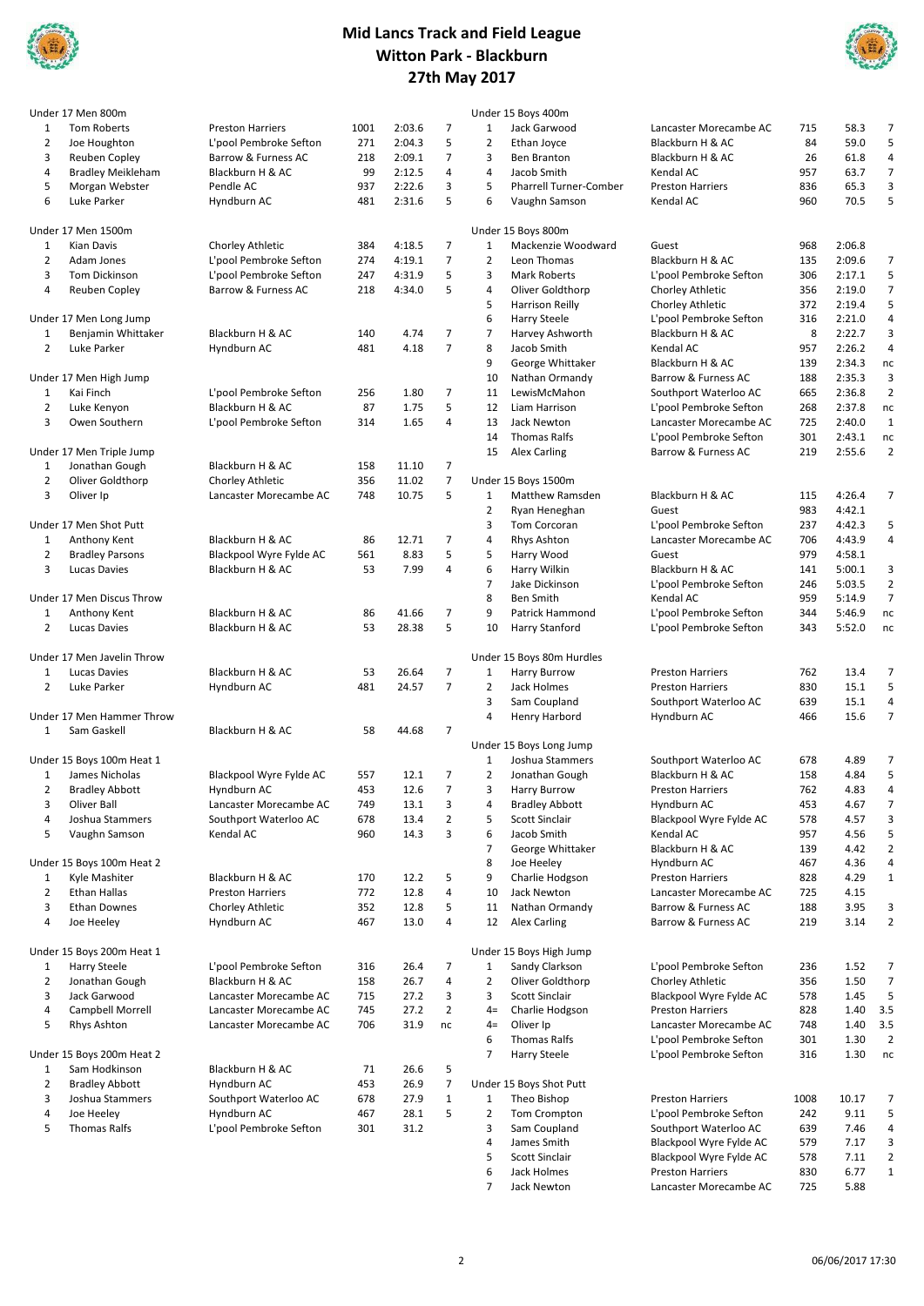



|                | Under 17 Men 800m          |                         |      |        |                |                | Under 15 Boys 400m            |                         |      |        |                     |
|----------------|----------------------------|-------------------------|------|--------|----------------|----------------|-------------------------------|-------------------------|------|--------|---------------------|
| $\mathbf{1}$   | Tom Roberts                | <b>Preston Harriers</b> | 1001 | 2:03.6 | $\overline{7}$ | 1              | Jack Garwood                  | Lancaster Morecambe AC  | 715  | 58.3   | 7                   |
| 2              | Joe Houghton               | L'pool Pembroke Sefton  | 271  | 2:04.3 | 5              | $\overline{2}$ | Ethan Joyce                   | Blackburn H & AC        | 84   | 59.0   | 5                   |
| 3              | Reuben Copley              | Barrow & Furness AC     | 218  | 2:09.1 | $\overline{7}$ | 3              | Ben Branton                   | Blackburn H & AC        | 26   | 61.8   | 4                   |
| 4              | <b>Bradley Meikleham</b>   | Blackburn H & AC        | 99   | 2:12.5 | 4              | 4              | Jacob Smith                   | Kendal AC               | 957  | 63.7   | $\overline{7}$      |
| 5              | Morgan Webster             | Pendle AC               | 937  | 2:22.6 | 3              | 5              | <b>Pharrell Turner-Comber</b> | <b>Preston Harriers</b> | 836  | 65.3   | 3                   |
| 6              | Luke Parker                | Hyndburn AC             | 481  | 2:31.6 | 5              | 6              | Vaughn Samson                 | Kendal AC               | 960  | 70.5   | 5                   |
|                | Under 17 Men 1500m         |                         |      |        |                |                | Under 15 Boys 800m            |                         |      |        |                     |
| $\mathbf{1}$   | Kian Davis                 | Chorley Athletic        | 384  | 4:18.5 | $\overline{7}$ | $\mathbf{1}$   | Mackenzie Woodward            | Guest                   | 968  | 2:06.8 |                     |
| 2              | Adam Jones                 | L'pool Pembroke Sefton  | 274  | 4:19.1 | $\overline{7}$ | $\overline{2}$ | Leon Thomas                   | Blackburn H & AC        | 135  | 2:09.6 | 7                   |
|                |                            |                         |      |        |                |                |                               |                         |      |        |                     |
| 3              | <b>Tom Dickinson</b>       | L'pool Pembroke Sefton  | 247  | 4:31.9 | 5<br>5         | 3              | <b>Mark Roberts</b>           | L'pool Pembroke Sefton  | 306  | 2:17.1 | 5                   |
| 4              | <b>Reuben Copley</b>       | Barrow & Furness AC     | 218  | 4:34.0 |                | $\sqrt{4}$     | Oliver Goldthorp              | Chorley Athletic        | 356  | 2:19.0 | 7                   |
|                |                            |                         |      |        |                | 5              | Harrison Reilly               | Chorley Athletic        | 372  | 2:19.4 | 5                   |
|                | Under 17 Men Long Jump     |                         |      |        |                | 6              | <b>Harry Steele</b>           | L'pool Pembroke Sefton  | 316  | 2:21.0 | 4                   |
| 1              | Benjamin Whittaker         | Blackburn H & AC        | 140  | 4.74   | $\overline{7}$ | $\overline{7}$ | Harvey Ashworth               | Blackburn H & AC        | 8    | 2:22.7 | 3                   |
| 2              | Luke Parker                | Hyndburn AC             | 481  | 4.18   | $\overline{7}$ | 8              | Jacob Smith                   | Kendal AC               | 957  | 2:26.2 | $\sqrt{4}$          |
|                |                            |                         |      |        |                | 9              | George Whittaker              | Blackburn H & AC        | 139  | 2:34.3 | nc                  |
|                | Under 17 Men High Jump     |                         |      |        |                | 10             | Nathan Ormandy                | Barrow & Furness AC     | 188  | 2:35.3 | 3                   |
| $\mathbf{1}$   | Kai Finch                  | L'pool Pembroke Sefton  | 256  | 1.80   | $\overline{7}$ | 11             | LewisMcMahon                  | Southport Waterloo AC   | 665  | 2:36.8 | $\overline{2}$      |
| 2              | Luke Kenyon                | Blackburn H & AC        | 87   | 1.75   | 5              | 12             | Liam Harrison                 | L'pool Pembroke Sefton  | 268  | 2:37.8 | nc                  |
| 3              | Owen Southern              | L'pool Pembroke Sefton  | 314  | 1.65   | 4              | 13             | Jack Newton                   | Lancaster Morecambe AC  | 725  | 2:40.0 | $\mathbf 1$         |
|                |                            |                         |      |        |                | 14             | <b>Thomas Ralfs</b>           | L'pool Pembroke Sefton  | 301  | 2:43.1 | nc                  |
|                | Under 17 Men Triple Jump   |                         |      |        |                | 15             | <b>Alex Carling</b>           | Barrow & Furness AC     | 219  | 2:55.6 | $\overline{2}$      |
| 1              | Jonathan Gough             | Blackburn H & AC        | 158  | 11.10  | $\overline{7}$ |                |                               |                         |      |        |                     |
| 2              | Oliver Goldthorp           | Chorley Athletic        | 356  | 11.02  | $\overline{7}$ |                | Under 15 Boys 1500m           |                         |      |        |                     |
| 3              | Oliver Ip                  | Lancaster Morecambe AC  | 748  | 10.75  | 5              | $\mathbf{1}$   | <b>Matthew Ramsden</b>        | Blackburn H & AC        | 115  | 4:26.4 | 7                   |
|                |                            |                         |      |        |                | $\overline{2}$ | Ryan Heneghan                 | Guest                   | 983  | 4:42.1 |                     |
|                | Under 17 Men Shot Putt     |                         |      |        |                | 3              | Tom Corcoran                  | L'pool Pembroke Sefton  | 237  | 4:42.3 | 5                   |
| $\mathbf{1}$   | Anthony Kent               | Blackburn H & AC        | 86   | 12.71  | $\overline{7}$ | $\overline{4}$ | Rhys Ashton                   | Lancaster Morecambe AC  | 706  | 4:43.9 | 4                   |
| 2              | <b>Bradley Parsons</b>     | Blackpool Wyre Fylde AC | 561  | 8.83   | 5              | 5              | Harry Wood                    | Guest                   | 979  | 4:58.1 |                     |
| 3              | Lucas Davies               | Blackburn H & AC        | 53   | 7.99   | 4              | 6              | Harry Wilkin                  | Blackburn H & AC        | 141  | 5:00.1 | 3                   |
|                |                            |                         |      |        |                | $\overline{7}$ | Jake Dickinson                | L'pool Pembroke Sefton  | 246  | 5:03.5 | $\overline{2}$      |
|                | Under 17 Men Discus Throw  |                         |      |        |                | 8              | <b>Ben Smith</b>              | Kendal AC               | 959  | 5:14.9 | $\overline{7}$      |
| 1              | Anthony Kent               | Blackburn H & AC        | 86   | 41.66  | $\overline{7}$ | 9              | Patrick Hammond               | L'pool Pembroke Sefton  | 344  | 5:46.9 | nc                  |
| 2              | Lucas Davies               | Blackburn H & AC        | 53   | 28.38  | 5              | 10             | Harry Stanford                | L'pool Pembroke Sefton  | 343  | 5:52.0 | nc                  |
|                |                            |                         |      |        |                |                |                               |                         |      |        |                     |
|                | Under 17 Men Javelin Throw |                         |      |        |                |                | Under 15 Boys 80m Hurdles     |                         |      |        |                     |
| $\mathbf{1}$   | Lucas Davies               | Blackburn H & AC        | 53   | 26.64  | $\overline{7}$ | $\mathbf{1}$   | <b>Harry Burrow</b>           | <b>Preston Harriers</b> | 762  | 13.4   | $\overline{7}$      |
| 2              | Luke Parker                | Hyndburn AC             | 481  | 24.57  | $\overline{7}$ | $\overline{2}$ | Jack Holmes                   | <b>Preston Harriers</b> | 830  | 15.1   | 5                   |
|                |                            |                         |      |        |                | 3              | Sam Coupland                  | Southport Waterloo AC   | 639  | 15.1   | 4                   |
|                | Under 17 Men Hammer Throw  |                         |      |        |                | $\overline{4}$ | Henry Harbord                 | Hyndburn AC             | 466  | 15.6   | $\overline{7}$      |
| $\mathbf{1}$   | Sam Gaskell                | Blackburn H & AC        | 58   | 44.68  | $\overline{7}$ |                |                               |                         |      |        |                     |
|                |                            |                         |      |        |                |                | Under 15 Boys Long Jump       |                         |      |        |                     |
|                | Under 15 Boys 100m Heat 1  |                         |      |        |                | 1              | Joshua Stammers               | Southport Waterloo AC   | 678  | 4.89   | $\overline{7}$      |
|                |                            |                         |      |        | $\overline{7}$ | $\overline{2}$ |                               |                         | 158  | 4.84   | 5                   |
| 1              | James Nicholas             | Blackpool Wyre Fylde AC | 557  | 12.1   | $\overline{7}$ | 3              | Jonathan Gough                | Blackburn H & AC        |      |        |                     |
| 2              | <b>Bradley Abbott</b>      | Hyndburn AC             | 453  | 12.6   |                |                | <b>Harry Burrow</b>           | <b>Preston Harriers</b> | 762  | 4.83   | 4<br>$\overline{7}$ |
| З              | Oliver Ball                | Lancaster Morecambe AC  | 749  | 13.1   | 3              |                | <b>Bradley Abbott</b>         | Hyndburn AC             | 453  | 4.67   |                     |
| 4              | Joshua Stammers            | Southport Waterloo AC   | 678  | 13.4   | $\overline{2}$ | 5              | Scott Sinclair                | Blackpool Wyre Fylde AC | 578  | 4.57   | 3                   |
| 5              | Vaughn Samson              | Kendal AC               | 960  | 14.3   | 3              | 6              | Jacob Smith                   | Kendal AC               | 957  | 4.56   | 5                   |
|                |                            |                         |      |        |                | $\overline{7}$ | George Whittaker              | Blackburn H & AC        | 139  | 4.42   | $\overline{2}$      |
|                | Under 15 Boys 100m Heat 2  |                         |      |        |                | 8              | Joe Heeley                    | Hyndburn AC             | 467  | 4.36   | 4                   |
| 1              | Kyle Mashiter              | Blackburn H & AC        | 170  | 12.2   | 5              | 9              | Charlie Hodgson               | <b>Preston Harriers</b> | 828  | 4.29   | $\mathbf 1$         |
| $\overline{2}$ | Ethan Hallas               | <b>Preston Harriers</b> | 772  | 12.8   | 4              | 10             | Jack Newton                   | Lancaster Morecambe AC  | 725  | 4.15   |                     |
| 3              | <b>Ethan Downes</b>        | Chorley Athletic        | 352  | 12.8   | 5              | 11             | Nathan Ormandy                | Barrow & Furness AC     | 188  | 3.95   | 3                   |
| 4              | Joe Heeley                 | Hyndburn AC             | 467  | 13.0   | 4              | 12             | Alex Carling                  | Barrow & Furness AC     | 219  | 3.14   | $\overline{2}$      |
|                |                            |                         |      |        |                |                |                               |                         |      |        |                     |
|                | Under 15 Boys 200m Heat 1  |                         |      |        |                |                | Under 15 Boys High Jump       |                         |      |        |                     |
| 1              | Harry Steele               | L'pool Pembroke Sefton  | 316  | 26.4   | 7              | $\mathbf{1}$   | Sandy Clarkson                | L'pool Pembroke Sefton  | 236  | 1.52   | 7                   |
| $\overline{2}$ | Jonathan Gough             | Blackburn H & AC        | 158  | 26.7   | 4              | $\overline{2}$ | Oliver Goldthorp              | Chorley Athletic        | 356  | 1.50   | $\overline{7}$      |
| 3              | Jack Garwood               | Lancaster Morecambe AC  | 715  | 27.2   | 3              | 3              | Scott Sinclair                | Blackpool Wyre Fylde AC | 578  | 1.45   | 5                   |
| 4              | Campbell Morrell           | Lancaster Morecambe AC  | 745  | 27.2   | 2              | $4=$           | Charlie Hodgson               | <b>Preston Harriers</b> | 828  | 1.40   | 3.5                 |
| 5              | Rhys Ashton                | Lancaster Morecambe AC  | 706  | 31.9   | nc             | $4=$           | Oliver Ip                     | Lancaster Morecambe AC  | 748  | 1.40   | 3.5                 |
|                |                            |                         |      |        |                | 6              | <b>Thomas Ralfs</b>           | L'pool Pembroke Sefton  | 301  | 1.30   | $\overline{2}$      |
|                | Under 15 Boys 200m Heat 2  |                         |      |        |                | $\overline{7}$ | Harry Steele                  | L'pool Pembroke Sefton  | 316  | 1.30   | nc                  |
| 1              | Sam Hodkinson              | Blackburn H & AC        | 71   | 26.6   | 5              |                |                               |                         |      |        |                     |
| 2              | <b>Bradley Abbott</b>      | Hyndburn AC             | 453  | 26.9   | $\overline{7}$ |                | Under 15 Boys Shot Putt       |                         |      |        |                     |
| 3              | Joshua Stammers            | Southport Waterloo AC   | 678  | 27.9   | $\mathbf{1}$   | $\mathbf{1}$   | Theo Bishop                   | <b>Preston Harriers</b> | 1008 | 10.17  | 7                   |
| 4              | Joe Heeley                 | Hyndburn AC             | 467  | 28.1   | 5              | $\overline{2}$ | Tom Crompton                  | L'pool Pembroke Sefton  | 242  | 9.11   | 5                   |
| 5              | <b>Thomas Ralfs</b>        | L'pool Pembroke Sefton  | 301  | 31.2   |                | 3              | Sam Coupland                  | Southport Waterloo AC   | 639  | 7.46   | $\overline{a}$      |
|                |                            |                         |      |        |                | 4              | James Smith                   | Blackpool Wyre Fylde AC | 579  | 7.17   | 3                   |
|                |                            |                         |      |        |                | 5              | Scott Sinclair                | Blackpool Wyre Fylde AC | 578  | 7.11   | $\overline{2}$      |
|                |                            |                         |      |        |                | 6              | Jack Holmes                   | <b>Preston Harriers</b> | 830  | 6.77   | $\mathbf{1}$        |

Jack Newton Lancaster Morecambe AC 725 5.88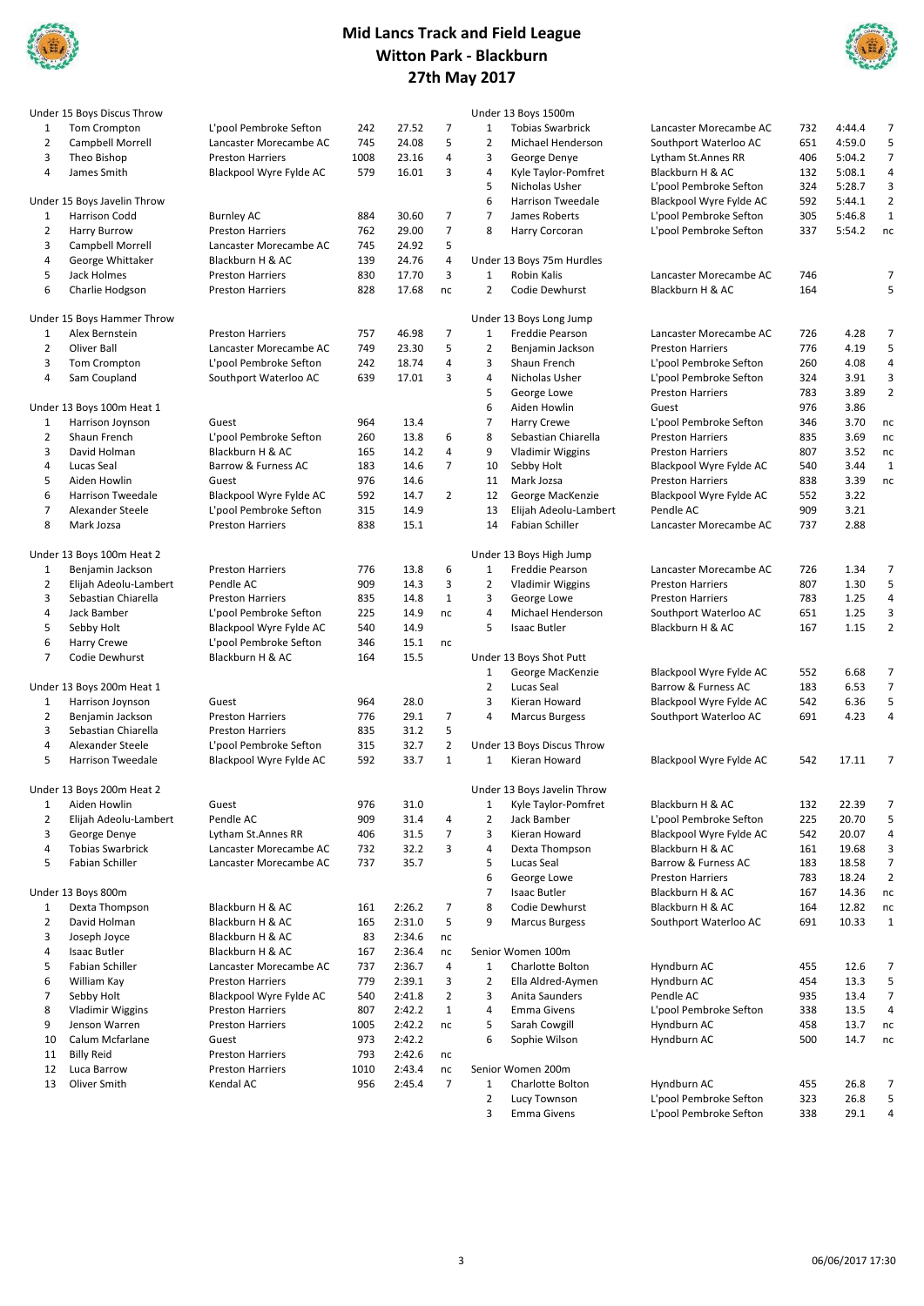



|                     | Under 15 Boys Discus Throw  |                         |      |        |                |                | Under 13 Boys 1500m         |                         |     |        |                |
|---------------------|-----------------------------|-------------------------|------|--------|----------------|----------------|-----------------------------|-------------------------|-----|--------|----------------|
| 1                   | Tom Crompton                | L'pool Pembroke Sefton  | 242  | 27.52  | $\overline{7}$ | 1              | <b>Tobias Swarbrick</b>     | Lancaster Morecambe AC  | 732 | 4:44.4 | 7              |
| $\overline{2}$      | Campbell Morrell            | Lancaster Morecambe AC  | 745  | 24.08  | 5              | 2              | Michael Henderson           | Southport Waterloo AC   | 651 | 4:59.0 | 5              |
| 3                   | Theo Bishop                 | <b>Preston Harriers</b> | 1008 | 23.16  | 4              | 3              | George Denye                | Lytham St.Annes RR      | 406 | 5:04.2 | $\overline{7}$ |
| 4                   | James Smith                 | Blackpool Wyre Fylde AC | 579  | 16.01  | 3              | 4              | Kyle Taylor-Pomfret         | Blackburn H & AC        | 132 | 5:08.1 | 4              |
|                     |                             |                         |      |        |                | 5              | Nicholas Usher              | L'pool Pembroke Sefton  | 324 | 5:28.7 | 3              |
|                     | Under 15 Boys Javelin Throw |                         |      |        |                | 6              | Harrison Tweedale           | Blackpool Wyre Fylde AC | 592 | 5:44.1 | $\overline{2}$ |
| 1                   | Harrison Codd               | <b>Burnley AC</b>       | 884  | 30.60  | 7              | $\overline{7}$ | James Roberts               | L'pool Pembroke Sefton  | 305 | 5:46.8 | $\mathbf 1$    |
| $\overline{2}$      | <b>Harry Burrow</b>         | <b>Preston Harriers</b> | 762  | 29.00  | $\overline{7}$ | 8              | Harry Corcoran              | L'pool Pembroke Sefton  | 337 | 5:54.2 | nc             |
| 3                   | Campbell Morrell            | Lancaster Morecambe AC  | 745  | 24.92  | 5              |                |                             |                         |     |        |                |
| 4                   | George Whittaker            | Blackburn H & AC        | 139  | 24.76  | 4              |                | Under 13 Boys 75m Hurdles   |                         |     |        |                |
| 5                   | Jack Holmes                 | <b>Preston Harriers</b> | 830  | 17.70  | 3              | $\mathbf{1}$   | Robin Kalis                 | Lancaster Morecambe AC  | 746 |        | 7              |
| 6                   | Charlie Hodgson             | <b>Preston Harriers</b> | 828  | 17.68  | nc             | $\overline{2}$ | Codie Dewhurst              | Blackburn H & AC        | 164 |        | 5              |
|                     | Under 15 Boys Hammer Throw  |                         |      |        |                |                | Under 13 Boys Long Jump     |                         |     |        |                |
| 1                   | Alex Bernstein              | <b>Preston Harriers</b> | 757  | 46.98  | $\overline{7}$ | $\mathbf{1}$   | Freddie Pearson             | Lancaster Morecambe AC  | 726 | 4.28   | 7              |
| $\overline{2}$      | Oliver Ball                 | Lancaster Morecambe AC  | 749  | 23.30  | 5              | 2              | Benjamin Jackson            | <b>Preston Harriers</b> | 776 | 4.19   | 5              |
| 3                   | Tom Crompton                | L'pool Pembroke Sefton  | 242  | 18.74  | 4              | 3              | Shaun French                | L'pool Pembroke Sefton  | 260 | 4.08   | $\overline{4}$ |
| 4                   | Sam Coupland                | Southport Waterloo AC   | 639  | 17.01  | 3              | 4              | Nicholas Usher              | L'pool Pembroke Sefton  | 324 | 3.91   | 3              |
|                     |                             |                         |      |        |                | 5              | George Lowe                 | <b>Preston Harriers</b> | 783 | 3.89   | $\overline{2}$ |
|                     | Under 13 Boys 100m Heat 1   |                         |      |        |                | 6              | Aiden Howlin                | Guest                   | 976 | 3.86   |                |
|                     | Harrison Joynson            | Guest                   | 964  | 13.4   |                | 7              | <b>Harry Crewe</b>          | L'pool Pembroke Sefton  | 346 | 3.70   | nc             |
| 1<br>$\overline{2}$ | Shaun French                | L'pool Pembroke Sefton  | 260  | 13.8   | 6              | 8              | Sebastian Chiarella         | <b>Preston Harriers</b> | 835 | 3.69   |                |
| 3                   |                             |                         |      |        |                |                |                             |                         |     |        | nc             |
|                     | David Holman                | Blackburn H & AC        | 165  | 14.2   | 4              | 9              | <b>Vladimir Wiggins</b>     | <b>Preston Harriers</b> | 807 | 3.52   | nc             |
| 4                   | Lucas Seal                  | Barrow & Furness AC     | 183  | 14.6   | $\overline{7}$ | 10             | Sebby Holt                  | Blackpool Wyre Fylde AC | 540 | 3.44   | $\mathbf{1}$   |
| 5                   | Aiden Howlin                | Guest                   | 976  | 14.6   |                | 11             | Mark Jozsa                  | <b>Preston Harriers</b> | 838 | 3.39   | nc             |
| 6                   | <b>Harrison Tweedale</b>    | Blackpool Wyre Fylde AC | 592  | 14.7   | 2              | 12             | George MacKenzie            | Blackpool Wyre Fylde AC | 552 | 3.22   |                |
| $\overline{7}$      | Alexander Steele            | L'pool Pembroke Sefton  | 315  | 14.9   |                | 13             | Elijah Adeolu-Lambert       | Pendle AC               | 909 | 3.21   |                |
| 8                   | Mark Jozsa                  | <b>Preston Harriers</b> | 838  | 15.1   |                | 14             | Fabian Schiller             | Lancaster Morecambe AC  | 737 | 2.88   |                |
|                     | Under 13 Boys 100m Heat 2   |                         |      |        |                |                | Under 13 Boys High Jump     |                         |     |        |                |
| 1                   | Benjamin Jackson            | <b>Preston Harriers</b> | 776  | 13.8   | 6              | $\mathbf{1}$   | Freddie Pearson             | Lancaster Morecambe AC  | 726 | 1.34   | $\overline{7}$ |
| $\overline{2}$      | Elijah Adeolu-Lambert       | Pendle AC               | 909  | 14.3   | 3              | $\overline{2}$ | <b>Vladimir Wiggins</b>     | <b>Preston Harriers</b> | 807 | 1.30   | 5              |
| 3                   | Sebastian Chiarella         | <b>Preston Harriers</b> | 835  | 14.8   | $\mathbf{1}$   | 3              | George Lowe                 | <b>Preston Harriers</b> | 783 | 1.25   | 4              |
| 4                   | Jack Bamber                 | L'pool Pembroke Sefton  | 225  | 14.9   | nc             | 4              | Michael Henderson           | Southport Waterloo AC   | 651 | 1.25   | 3              |
| 5                   | Sebby Holt                  | Blackpool Wyre Fylde AC | 540  | 14.9   |                | 5              | <b>Isaac Butler</b>         | Blackburn H & AC        | 167 | 1.15   | $\overline{2}$ |
| 6                   | <b>Harry Crewe</b>          | L'pool Pembroke Sefton  | 346  | 15.1   | nc             |                |                             |                         |     |        |                |
| $\overline{7}$      | Codie Dewhurst              | Blackburn H & AC        | 164  | 15.5   |                |                | Under 13 Boys Shot Putt     |                         |     |        |                |
|                     |                             |                         |      |        |                | 1              | George MacKenzie            | Blackpool Wyre Fylde AC | 552 | 6.68   | $\overline{7}$ |
|                     | Under 13 Boys 200m Heat 1   |                         |      |        |                | 2              | Lucas Seal                  | Barrow & Furness AC     | 183 | 6.53   | $\overline{7}$ |
| 1                   | Harrison Joynson            | Guest                   | 964  | 28.0   |                | 3              | Kieran Howard               | Blackpool Wyre Fylde AC | 542 | 6.36   | 5              |
| $\overline{2}$      | Benjamin Jackson            | <b>Preston Harriers</b> | 776  | 29.1   | $\overline{7}$ | 4              | <b>Marcus Burgess</b>       | Southport Waterloo AC   | 691 | 4.23   | 4              |
| 3                   | Sebastian Chiarella         | <b>Preston Harriers</b> | 835  | 31.2   | 5              |                |                             |                         |     |        |                |
| 4                   | Alexander Steele            | L'pool Pembroke Sefton  | 315  | 32.7   | $\overline{2}$ |                | Under 13 Boys Discus Throw  |                         |     |        |                |
| 5                   | <b>Harrison Tweedale</b>    | Blackpool Wyre Fylde AC | 592  | 33.7   | $\mathbf{1}$   | $\mathbf{1}$   | Kieran Howard               | Blackpool Wyre Fylde AC | 542 | 17.11  | 7              |
|                     | Under 13 Boys 200m Heat 2   |                         |      |        |                |                | Under 13 Boys Javelin Throw |                         |     |        |                |
| 1                   | Aiden Howlin                | Guest                   | 976  | 31.0   |                | 1              | Kyle Taylor-Pomfret         | Blackburn H & AC        | 132 | 22.39  |                |
| $\overline{2}$      | Elijah Adeolu-Lambert       | Pendle AC               | 909  | 31.4   | 4              | $\overline{2}$ | Jack Bamber                 | L'pool Pembroke Sefton  | 225 | 20.70  | 5              |
| 3                   |                             |                         |      |        |                |                |                             | Blackpool Wyre Fylde AC |     |        |                |
|                     | George Denye                | Lytham St.Annes RR      | 406  | 31.5   | $\overline{7}$ | 3              | Kieran Howard               |                         | 542 | 20.07  | 4              |
| 4                   | <b>Tobias Swarbrick</b>     | Lancaster Morecambe AC  | 732  | 32.2   | 3              | 4              | Dexta Thompson              | Blackburn H & AC        | 161 | 19.68  | 3              |
| 5                   | Fabian Schiller             | Lancaster Morecambe AC  | 737  | 35.7   |                | 5              | Lucas Seal                  | Barrow & Furness AC     | 183 | 18.58  | 7              |
|                     |                             |                         |      |        |                | 6              | George Lowe                 | <b>Preston Harriers</b> | 783 | 18.24  | $\overline{2}$ |
|                     | Under 13 Boys 800m          |                         |      |        |                | $\overline{7}$ | Isaac Butler                | Blackburn H & AC        | 167 | 14.36  | nc             |
| 1                   | Dexta Thompson              | Blackburn H & AC        | 161  | 2:26.2 | $\overline{7}$ | 8              | Codie Dewhurst              | Blackburn H & AC        | 164 | 12.82  | nc             |
| $\overline{2}$      | David Holman                | Blackburn H & AC        | 165  | 2:31.0 | 5              | 9              | <b>Marcus Burgess</b>       | Southport Waterloo AC   | 691 | 10.33  | $\mathbf{1}$   |
| 3                   | Joseph Joyce                | Blackburn H & AC        | 83   | 2:34.6 | nc             |                |                             |                         |     |        |                |
| 4                   | Isaac Butler                | Blackburn H & AC        | 167  | 2:36.4 | nc             |                | Senior Women 100m           |                         |     |        |                |
| 5                   | <b>Fabian Schiller</b>      | Lancaster Morecambe AC  | 737  | 2:36.7 | 4              | $\mathbf{1}$   | Charlotte Bolton            | Hyndburn AC             | 455 | 12.6   | 7              |
| 6                   | William Kay                 | <b>Preston Harriers</b> | 779  | 2:39.1 | 3              | $\overline{2}$ | Ella Aldred-Aymen           | Hyndburn AC             | 454 | 13.3   | 5              |
| $\overline{7}$      | Sebby Holt                  | Blackpool Wyre Fylde AC | 540  | 2:41.8 | $\overline{2}$ | 3              | Anita Saunders              | Pendle AC               | 935 | 13.4   | $\overline{7}$ |
| 8                   | <b>Vladimir Wiggins</b>     | <b>Preston Harriers</b> | 807  | 2:42.2 | $\mathbf{1}$   | 4              | <b>Emma Givens</b>          | L'pool Pembroke Sefton  | 338 | 13.5   | 4              |
| 9                   | Jenson Warren               | <b>Preston Harriers</b> | 1005 | 2:42.2 | nc             | 5              | Sarah Cowgill               | Hyndburn AC             | 458 | 13.7   | nc             |
| 10                  | Calum Mcfarlane             | Guest                   | 973  | 2:42.2 |                | 6              | Sophie Wilson               | Hyndburn AC             | 500 | 14.7   | nc             |
| 11                  | <b>Billy Reid</b>           | <b>Preston Harriers</b> | 793  | 2:42.6 | nc             |                |                             |                         |     |        |                |
| 12                  | Luca Barrow                 | <b>Preston Harriers</b> | 1010 | 2:43.4 | nc             |                | Senior Women 200m           |                         |     |        |                |
| 13                  | Oliver Smith                | Kendal AC               | 956  | 2:45.4 | $\overline{7}$ | 1              | Charlotte Bolton            | Hyndburn AC             | 455 | 26.8   | $\overline{7}$ |
|                     |                             |                         |      |        |                | $\overline{2}$ | Lucy Townson                | L'pool Pembroke Sefton  | 323 | 26.8   | 5              |
|                     |                             |                         |      |        |                | 3              | <b>Emma Givens</b>          |                         | 338 | 29.1   | 4              |
|                     |                             |                         |      |        |                |                |                             | L'pool Pembroke Sefton  |     |        |                |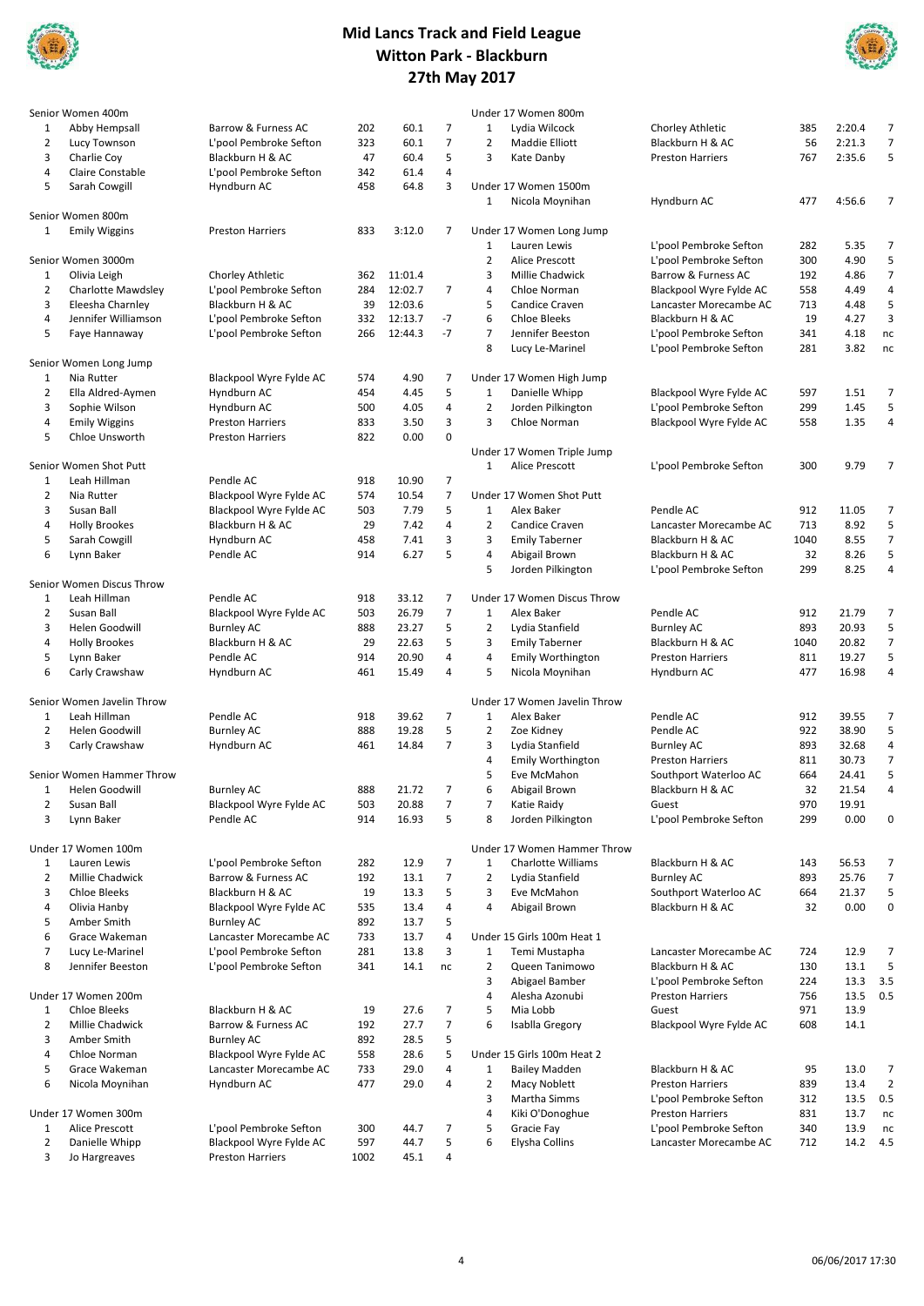



|                | Senior Women 400m          |                         |      |         |                |                | Under 17 Women 800m          |                         |      |        |                |
|----------------|----------------------------|-------------------------|------|---------|----------------|----------------|------------------------------|-------------------------|------|--------|----------------|
| 1              | Abby Hempsall              | Barrow & Furness AC     | 202  | 60.1    | 7              | 1              | Lydia Wilcock                | Chorley Athletic        | 385  | 2:20.4 | $\overline{7}$ |
| $\overline{2}$ | Lucy Townson               | L'pool Pembroke Sefton  | 323  | 60.1    | $\overline{7}$ | $\overline{2}$ | Maddie Elliott               | Blackburn H & AC        | 56   | 2:21.3 | $\overline{7}$ |
| 3              | Charlie Coy                | Blackburn H & AC        | 47   | 60.4    | 5              | 3              | Kate Danby                   | <b>Preston Harriers</b> | 767  | 2:35.6 | 5              |
| 4              | Claire Constable           | L'pool Pembroke Sefton  | 342  | 61.4    | 4              |                |                              |                         |      |        |                |
| 5              |                            |                         | 458  |         | 3              |                |                              |                         |      |        |                |
|                | Sarah Cowgill              | Hyndburn AC             |      | 64.8    |                |                | Under 17 Women 1500m         |                         |      |        |                |
|                |                            |                         |      |         |                | 1              | Nicola Moynihan              | Hyndburn AC             | 477  | 4:56.6 | $\overline{7}$ |
|                | Senior Women 800m          |                         |      |         |                |                |                              |                         |      |        |                |
| 1              | <b>Emily Wiggins</b>       | <b>Preston Harriers</b> | 833  | 3:12.0  | 7              |                | Under 17 Women Long Jump     |                         |      |        |                |
|                |                            |                         |      |         |                | 1              | Lauren Lewis                 | L'pool Pembroke Sefton  | 282  | 5.35   | 7              |
|                | Senior Women 3000m         |                         |      |         |                | $\overline{2}$ | Alice Prescott               | L'pool Pembroke Sefton  | 300  | 4.90   | 5              |
| 1              | Olivia Leigh               | Chorley Athletic        | 362  | 11:01.4 |                | 3              | Millie Chadwick              | Barrow & Furness AC     | 192  | 4.86   | $\overline{7}$ |
| $\overline{2}$ | Charlotte Mawdsley         | L'pool Pembroke Sefton  | 284  | 12:02.7 | $\overline{7}$ | $\overline{4}$ | Chloe Norman                 | Blackpool Wyre Fylde AC | 558  | 4.49   | $\sqrt{4}$     |
| 3              |                            | Blackburn H & AC        | 39   | 12:03.6 |                | 5              | Candice Craven               |                         |      | 4.48   | 5              |
|                | Eleesha Charnley           |                         |      |         |                |                |                              | Lancaster Morecambe AC  | 713  |        |                |
| 4              | Jennifer Williamson        | L'pool Pembroke Sefton  | 332  | 12:13.7 | $-7$           | 6              | <b>Chloe Bleeks</b>          | Blackburn H & AC        | 19   | 4.27   | 3              |
| 5              | Faye Hannaway              | L'pool Pembroke Sefton  | 266  | 12:44.3 | $-7$           | $\overline{7}$ | Jennifer Beeston             | L'pool Pembroke Sefton  | 341  | 4.18   | nc             |
|                |                            |                         |      |         |                | 8              | Lucy Le-Marinel              | L'pool Pembroke Sefton  | 281  | 3.82   | nc             |
|                | Senior Women Long Jump     |                         |      |         |                |                |                              |                         |      |        |                |
| 1              | Nia Rutter                 | Blackpool Wyre Fylde AC | 574  | 4.90    | 7              |                | Under 17 Women High Jump     |                         |      |        |                |
| 2              | Ella Aldred-Aymen          | Hyndburn AC             | 454  | 4.45    | 5              | 1              | Danielle Whipp               | Blackpool Wyre Fylde AC | 597  | 1.51   | 7              |
| 3              | Sophie Wilson              | Hyndburn AC             | 500  | 4.05    | 4              | $\overline{2}$ | Jorden Pilkington            | L'pool Pembroke Sefton  | 299  | 1.45   | 5              |
| 4              | <b>Emily Wiggins</b>       |                         | 833  | 3.50    | 3              | 3              | Chloe Norman                 |                         | 558  | 1.35   | 4              |
|                |                            | <b>Preston Harriers</b> |      |         |                |                |                              | Blackpool Wyre Fylde AC |      |        |                |
| 5              | Chloe Unsworth             | <b>Preston Harriers</b> | 822  | 0.00    | 0              |                |                              |                         |      |        |                |
|                |                            |                         |      |         |                |                | Under 17 Women Triple Jump   |                         |      |        |                |
|                | Senior Women Shot Putt     |                         |      |         |                | $\mathbf{1}$   | Alice Prescott               | L'pool Pembroke Sefton  | 300  | 9.79   | $\overline{7}$ |
| 1              | Leah Hillman               | Pendle AC               | 918  | 10.90   | $\overline{7}$ |                |                              |                         |      |        |                |
| $\overline{2}$ | Nia Rutter                 | Blackpool Wyre Fylde AC | 574  | 10.54   | 7              |                | Under 17 Women Shot Putt     |                         |      |        |                |
| 3              | Susan Ball                 | Blackpool Wyre Fylde AC | 503  | 7.79    | 5              | 1              | Alex Baker                   | Pendle AC               | 912  | 11.05  | 7              |
| 4              | <b>Holly Brookes</b>       | Blackburn H & AC        | 29   | 7.42    | 4              | $\overline{2}$ | Candice Craven               | Lancaster Morecambe AC  | 713  | 8.92   | 5              |
|                |                            |                         |      |         | 3              | 3              |                              |                         |      | 8.55   | $\overline{7}$ |
| 5              | Sarah Cowgill              | Hyndburn AC             | 458  | 7.41    |                |                | <b>Emily Taberner</b>        | Blackburn H & AC        | 1040 |        |                |
| 6              | Lynn Baker                 | Pendle AC               | 914  | 6.27    | 5              | 4              | Abigail Brown                | Blackburn H & AC        | 32   | 8.26   | 5              |
|                |                            |                         |      |         |                | 5              | Jorden Pilkington            | L'pool Pembroke Sefton  | 299  | 8.25   | 4              |
|                | Senior Women Discus Throw  |                         |      |         |                |                |                              |                         |      |        |                |
| 1              | Leah Hillman               | Pendle AC               | 918  | 33.12   | 7              |                | Under 17 Women Discus Throw  |                         |      |        |                |
| $\overline{2}$ | Susan Ball                 | Blackpool Wyre Fylde AC | 503  | 26.79   | 7              | 1              | Alex Baker                   | Pendle AC               | 912  | 21.79  | 7              |
| 3              | Helen Goodwill             | <b>Burnley AC</b>       | 888  | 23.27   | 5              | $\overline{2}$ | Lydia Stanfield              | <b>Burnley AC</b>       | 893  | 20.93  | 5              |
| 4              | <b>Holly Brookes</b>       | Blackburn H & AC        | 29   | 22.63   | 5              | 3              | <b>Emily Taberner</b>        | Blackburn H & AC        | 1040 | 20.82  | $\overline{7}$ |
|                |                            |                         |      |         |                |                |                              |                         |      |        |                |
| 5              | Lynn Baker                 | Pendle AC               | 914  | 20.90   | 4              | 4              | Emily Worthington            | <b>Preston Harriers</b> | 811  | 19.27  | 5              |
| 6              | Carly Crawshaw             | Hyndburn AC             | 461  | 15.49   | 4              | 5              | Nicola Moynihan              | Hyndburn AC             | 477  | 16.98  | 4              |
|                |                            |                         |      |         |                |                |                              |                         |      |        |                |
|                | Senior Women Javelin Throw |                         |      |         |                |                | Under 17 Women Javelin Throw |                         |      |        |                |
| 1              | Leah Hillman               | Pendle AC               | 918  | 39.62   | 7              | 1              | Alex Baker                   | Pendle AC               | 912  | 39.55  | 7              |
| $\overline{2}$ | Helen Goodwill             | <b>Burnley AC</b>       | 888  | 19.28   | 5              | $\overline{2}$ | Zoe Kidney                   | Pendle AC               | 922  | 38.90  | 5              |
| 3              | Carly Crawshaw             | Hyndburn AC             | 461  | 14.84   | 7              | 3              | Lydia Stanfield              | <b>Burnley AC</b>       | 893  | 32.68  | 4              |
|                |                            |                         |      |         |                | 4              | <b>Emily Worthington</b>     | <b>Preston Harriers</b> | 811  | 30.73  | $\overline{7}$ |
|                | Senior Women Hammer Throw  |                         |      |         |                | 5              |                              |                         | 664  | 24.41  | 5              |
|                |                            |                         |      |         |                |                | Eve McMahon                  | Southport Waterloo AC   |      |        |                |
| 1              | Helen Goodwill             | <b>Burnley AC</b>       | 888  | 21.72   | 7              | 6              | Abigail Brown                | Blackburn H & AC        | 32   | 21.54  | 4              |
| 2              | Susan Ball                 | Blackpool Wyre Fylde AC | 503  | 20.88   | $\overline{7}$ | $\overline{7}$ | Katie Raidy                  | Guest                   | 970  | 19.91  |                |
| 3              | Lynn Baker                 | Pendle AC               | 914  | 16.93   | 5              | 8              | Jorden Pilkington            | L'pool Pembroke Sefton  | 299  | 0.00   | 0              |
|                |                            |                         |      |         |                |                |                              |                         |      |        |                |
|                | Under 17 Women 100m        |                         |      |         |                |                | Under 17 Women Hammer Throw  |                         |      |        |                |
| 1              | Lauren Lewis               | L'pool Pembroke Sefton  | 282  | 12.9    | 7              | 1              | <b>Charlotte Williams</b>    | Blackburn H & AC        | 143  | 56.53  | 7              |
| $\overline{2}$ | Millie Chadwick            | Barrow & Furness AC     | 192  | 13.1    | $\overline{7}$ | $\overline{2}$ | Lydia Stanfield              | <b>Burnley AC</b>       | 893  | 25.76  | $\overline{7}$ |
| 3              | <b>Chloe Bleeks</b>        | Blackburn H & AC        | 19   | 13.3    | 5              | 3              | Eve McMahon                  |                         |      | 21.37  | 5              |
|                |                            |                         |      |         |                |                |                              | Southport Waterloo AC   | 664  |        |                |
| 4              | Olivia Hanby               | Blackpool Wyre Fylde AC | 535  | 13.4    | 4              | 4              | Abigail Brown                | Blackburn H & AC        | 32   | 0.00   | 0              |
| 5              | Amber Smith                | <b>Burnley AC</b>       | 892  | 13.7    | 5              |                |                              |                         |      |        |                |
| 6              | Grace Wakeman              | Lancaster Morecambe AC  | 733  | 13.7    | 4              |                | Under 15 Girls 100m Heat 1   |                         |      |        |                |
| $\overline{7}$ | Lucy Le-Marinel            | L'pool Pembroke Sefton  | 281  | 13.8    | 3              | 1              | Temi Mustapha                | Lancaster Morecambe AC  | 724  | 12.9   | 7              |
| 8              | Jennifer Beeston           | L'pool Pembroke Sefton  | 341  | 14.1    | nc             | $\overline{2}$ | Queen Tanimowo               | Blackburn H & AC        | 130  | 13.1   | 5              |
|                |                            |                         |      |         |                | 3              | Abigael Bamber               | L'pool Pembroke Sefton  | 224  | 13.3   | 3.5            |
|                | Under 17 Women 200m        |                         |      |         |                | $\overline{4}$ | Alesha Azonubi               | <b>Preston Harriers</b> | 756  | 13.5   | 0.5            |
|                |                            |                         |      |         |                |                |                              |                         |      |        |                |
| 1              | <b>Chloe Bleeks</b>        | Blackburn H & AC        | 19   | 27.6    | 7              | 5              | Mia Lobb                     | Guest                   | 971  | 13.9   |                |
| $\overline{2}$ | Millie Chadwick            | Barrow & Furness AC     | 192  | 27.7    | 7              | 6              | Isablla Gregory              | Blackpool Wyre Fylde AC | 608  | 14.1   |                |
| 3              | Amber Smith                | <b>Burnley AC</b>       | 892  | 28.5    | 5              |                |                              |                         |      |        |                |
| 4              | Chloe Norman               | Blackpool Wyre Fylde AC | 558  | 28.6    | 5              |                | Under 15 Girls 100m Heat 2   |                         |      |        |                |
| 5              | Grace Wakeman              | Lancaster Morecambe AC  | 733  | 29.0    | 4              | 1              | <b>Bailey Madden</b>         | Blackburn H & AC        | 95   | 13.0   | 7              |
| 6              | Nicola Moynihan            | Hyndburn AC             | 477  | 29.0    | 4              | $\overline{2}$ | Macy Noblett                 | <b>Preston Harriers</b> | 839  | 13.4   | $\overline{2}$ |
|                |                            |                         |      |         |                |                |                              |                         |      |        |                |
|                |                            |                         |      |         |                | 3              | Martha Simms                 | L'pool Pembroke Sefton  | 312  | 13.5   | 0.5            |
|                | Under 17 Women 300m        |                         |      |         |                | 4              | Kiki O'Donoghue              | <b>Preston Harriers</b> | 831  | 13.7   | nc             |
| 1              | Alice Prescott             | L'pool Pembroke Sefton  | 300  | 44.7    | 7              | 5              | Gracie Fay                   | L'pool Pembroke Sefton  | 340  | 13.9   | nc             |
| $\overline{2}$ | Danielle Whipp             | Blackpool Wyre Fylde AC | 597  | 44.7    | 5              | 6              | Elysha Collins               | Lancaster Morecambe AC  | 712  | 14.2   | 4.5            |
| 3              | Jo Hargreaves              | <b>Preston Harriers</b> | 1002 | 45.1    | 4              |                |                              |                         |      |        |                |
|                |                            |                         |      |         |                |                |                              |                         |      |        |                |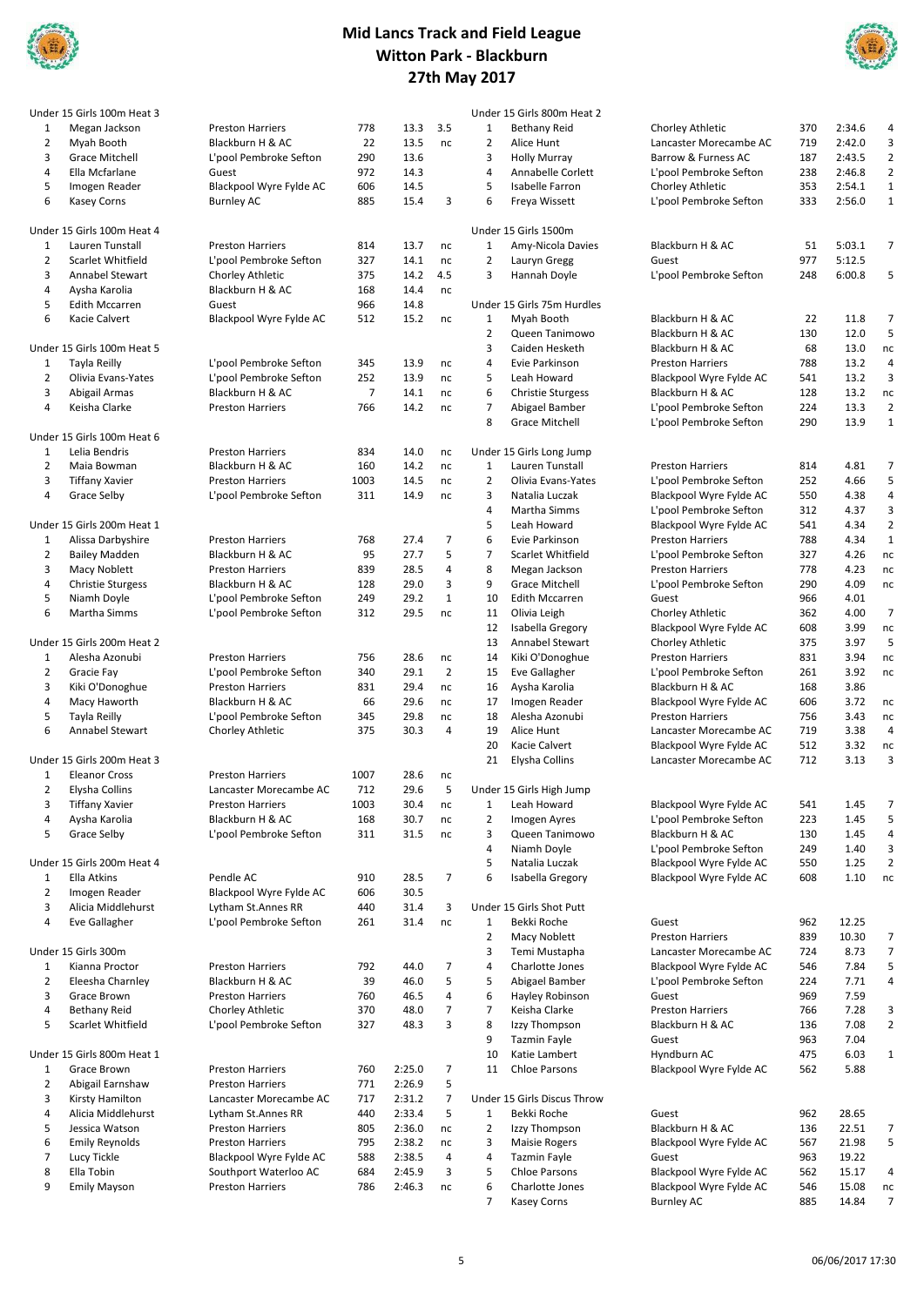



|                | Under 15 Girls 100m Heat 3                    |                         |                |        |                |                               | Under 15 Girls 800m Heat 2              |                         |     |        |                          |
|----------------|-----------------------------------------------|-------------------------|----------------|--------|----------------|-------------------------------|-----------------------------------------|-------------------------|-----|--------|--------------------------|
| $\mathbf{1}$   | Megan Jackson                                 | <b>Preston Harriers</b> | 778            | 13.3   | 3.5            | $\mathbf{1}$                  | <b>Bethany Reid</b>                     | Chorley Athletic        | 370 | 2:34.6 | 4                        |
| 2              | Myah Booth                                    | Blackburn H & AC        | 22             | 13.5   | nc             | $\overline{2}$                | Alice Hunt                              | Lancaster Morecambe AC  | 719 | 2:42.0 | 3                        |
| 3              | Grace Mitchell                                | L'pool Pembroke Sefton  | 290            | 13.6   |                | 3                             | <b>Holly Murray</b>                     | Barrow & Furness AC     | 187 | 2:43.5 | $\overline{2}$           |
| 4              | Ella Mcfarlane                                | Guest                   | 972            | 14.3   |                | $\overline{4}$                | Annabelle Corlett                       | L'pool Pembroke Sefton  | 238 | 2:46.8 | $\overline{2}$           |
| 5              | Imogen Reader                                 | Blackpool Wyre Fylde AC | 606            | 14.5   |                | 5                             | Isabelle Farron                         | Chorley Athletic        | 353 | 2:54.1 | $\mathbf 1$              |
| 6              | <b>Kasey Corns</b>                            | <b>Burnley AC</b>       | 885            | 15.4   | 3              | 6                             | Freya Wissett                           | L'pool Pembroke Sefton  | 333 | 2:56.0 | $\,$ 1 $\,$              |
|                |                                               |                         |                |        |                |                               |                                         |                         |     |        |                          |
|                | Under 15 Girls 100m Heat 4<br>Lauren Tunstall |                         |                |        |                |                               | Under 15 Girls 1500m                    | Blackburn H & AC        |     | 5:03.1 | 7                        |
| $\mathbf{1}$   |                                               | <b>Preston Harriers</b> | 814            | 13.7   | nc             | 1<br>$\overline{2}$           | Amy-Nicola Davies                       |                         | 51  |        |                          |
| $\overline{2}$ | Scarlet Whitfield                             | L'pool Pembroke Sefton  | 327            | 14.1   | nc             | 3                             | Lauryn Gregg                            | Guest                   | 977 | 5:12.5 |                          |
| 3              | <b>Annabel Stewart</b>                        | Chorley Athletic        | 375            | 14.2   | 4.5            |                               | Hannah Doyle                            | L'pool Pembroke Sefton  | 248 | 6:00.8 | 5                        |
| 4              | Aysha Karolia                                 | Blackburn H & AC        | 168            | 14.4   | nc             |                               |                                         |                         |     |        |                          |
| 5              | <b>Edith Mccarren</b>                         | Guest                   | 966            | 14.8   |                |                               | Under 15 Girls 75m Hurdles              |                         |     |        |                          |
| 6              | Kacie Calvert                                 | Blackpool Wyre Fylde AC | 512            | 15.2   | nc             | 1                             | Myah Booth                              | Blackburn H & AC        | 22  | 11.8   | $\overline{7}$           |
|                |                                               |                         |                |        |                | $\overline{2}$                | Queen Tanimowo                          | Blackburn H & AC        | 130 | 12.0   | 5                        |
|                | Under 15 Girls 100m Heat 5                    |                         |                |        |                | 3                             | Caiden Hesketh                          | Blackburn H & AC        | 68  | 13.0   | nc                       |
| $\mathbf{1}$   | Tayla Reilly                                  | L'pool Pembroke Sefton  | 345            | 13.9   | nc             | $\overline{4}$                | Evie Parkinson                          | <b>Preston Harriers</b> | 788 | 13.2   | $\overline{4}$           |
| $\overline{2}$ | Olivia Evans-Yates                            | L'pool Pembroke Sefton  | 252            | 13.9   | nc             | 5                             | Leah Howard                             | Blackpool Wyre Fylde AC | 541 | 13.2   | $\mathsf 3$              |
| 3              | Abigail Armas                                 | Blackburn H & AC        | $\overline{7}$ | 14.1   | nc             | 6                             | <b>Christie Sturgess</b>                | Blackburn H & AC        | 128 | 13.2   | nc                       |
| $\overline{4}$ | Keisha Clarke                                 | <b>Preston Harriers</b> | 766            | 14.2   | nc             | $\overline{7}$                | Abigael Bamber                          | L'pool Pembroke Sefton  | 224 | 13.3   | $\overline{2}$           |
|                |                                               |                         |                |        |                | 8                             | <b>Grace Mitchell</b>                   | L'pool Pembroke Sefton  | 290 | 13.9   | $\mathbf{1}$             |
|                | Under 15 Girls 100m Heat 6                    |                         |                |        |                |                               |                                         |                         |     |        |                          |
| $\mathbf{1}$   | Lelia Bendris                                 | <b>Preston Harriers</b> | 834            | 14.0   | nc             |                               | Under 15 Girls Long Jump                |                         |     |        |                          |
| $\overline{2}$ | Maia Bowman                                   | Blackburn H & AC        | 160            | 14.2   | nc             | $1\,$                         | Lauren Tunstall                         | <b>Preston Harriers</b> | 814 | 4.81   | $\overline{\phantom{a}}$ |
| 3              | <b>Tiffany Xavier</b>                         | <b>Preston Harriers</b> | 1003           | 14.5   | nc             | $\overline{2}$                | Olivia Evans-Yates                      | L'pool Pembroke Sefton  | 252 | 4.66   | 5                        |
| $\overline{4}$ | Grace Selby                                   | L'pool Pembroke Sefton  | 311            | 14.9   | nc             | 3                             | Natalia Luczak                          | Blackpool Wyre Fylde AC | 550 | 4.38   | $\sqrt{4}$               |
|                |                                               |                         |                |        |                | $\overline{4}$                | Martha Simms                            | L'pool Pembroke Sefton  | 312 | 4.37   | 3                        |
|                | Under 15 Girls 200m Heat 1                    |                         |                |        |                | 5                             | Leah Howard                             | Blackpool Wyre Fylde AC | 541 | 4.34   | $\overline{2}$           |
| $\mathbf{1}$   | Alissa Darbyshire                             | <b>Preston Harriers</b> | 768            | 27.4   | $\overline{7}$ | 6                             | Evie Parkinson                          | <b>Preston Harriers</b> | 788 | 4.34   | $\mathbf 1$              |
| $\overline{2}$ | <b>Bailey Madden</b>                          | Blackburn H & AC        | 95             | 27.7   | 5              | $\overline{7}$                | Scarlet Whitfield                       | L'pool Pembroke Sefton  | 327 | 4.26   | nc                       |
| 3              | Macy Noblett                                  | <b>Preston Harriers</b> | 839            | 28.5   | $\sqrt{4}$     | 8                             | Megan Jackson                           | <b>Preston Harriers</b> | 778 | 4.23   | nc                       |
| 4              | <b>Christie Sturgess</b>                      | Blackburn H & AC        | 128            | 29.0   | 3              | 9                             | <b>Grace Mitchell</b>                   | L'pool Pembroke Sefton  | 290 | 4.09   | nc                       |
| 5              | Niamh Doyle                                   | L'pool Pembroke Sefton  | 249            | 29.2   | $\mathbf 1$    | 10                            | <b>Edith Mccarren</b>                   | Guest                   | 966 | 4.01   |                          |
| 6              | Martha Simms                                  | L'pool Pembroke Sefton  | 312            | 29.5   | nc             | 11                            | Olivia Leigh                            | Chorley Athletic        | 362 | 4.00   | $\overline{7}$           |
|                |                                               |                         |                |        |                | 12                            | Isabella Gregory                        | Blackpool Wyre Fylde AC | 608 | 3.99   | nc                       |
|                | Under 15 Girls 200m Heat 2                    |                         |                |        |                | 13                            | Annabel Stewart                         | Chorley Athletic        | 375 | 3.97   | 5                        |
| $\mathbf{1}$   | Alesha Azonubi                                | <b>Preston Harriers</b> | 756            | 28.6   | nc             | 14                            | Kiki O'Donoghue                         | <b>Preston Harriers</b> | 831 | 3.94   | nc                       |
| $\overline{2}$ | Gracie Fay                                    | L'pool Pembroke Sefton  | 340            | 29.1   | $\overline{2}$ | 15                            | <b>Eve Gallagher</b>                    | L'pool Pembroke Sefton  | 261 | 3.92   | nc                       |
| 3              | Kiki O'Donoghue                               | <b>Preston Harriers</b> | 831            | 29.4   | nc             | 16                            | Aysha Karolia                           | Blackburn H & AC        | 168 | 3.86   |                          |
| 4              | Macy Haworth                                  | Blackburn H & AC        | 66             | 29.6   | nc             | 17                            | Imogen Reader                           | Blackpool Wyre Fylde AC | 606 | 3.72   | nc                       |
| 5              | Tayla Reilly                                  | L'pool Pembroke Sefton  | 345            | 29.8   | nc             | 18                            | Alesha Azonubi                          | <b>Preston Harriers</b> | 756 | 3.43   | nc                       |
| 6              | Annabel Stewart                               | Chorley Athletic        | 375            | 30.3   | 4              | 19                            | Alice Hunt                              | Lancaster Morecambe AC  | 719 | 3.38   | $\sqrt{4}$               |
|                |                                               |                         |                |        |                | 20                            | Kacie Calvert                           | Blackpool Wyre Fylde AC | 512 | 3.32   | nc                       |
|                | Under 15 Girls 200m Heat 3                    |                         |                |        |                | 21                            | Elysha Collins                          | Lancaster Morecambe AC  | 712 | 3.13   | 3                        |
|                |                                               |                         |                |        |                |                               |                                         |                         |     |        |                          |
| 1              | <b>Eleanor Cross</b>                          | <b>Preston Harriers</b> | 1007           | 28.6   | nc<br>5        |                               |                                         |                         |     |        |                          |
| 2              | Elysha Collins                                | Lancaster Morecambe AC  | 712            | 29.6   |                |                               | Under 15 Girls High Jump<br>Leah Howard |                         |     |        |                          |
| 3              | <b>Tiffany Xavier</b>                         | <b>Preston Harriers</b> | 1003           | 30.4   | nc             | $\mathbf 1$<br>$\overline{2}$ |                                         | Blackpool Wyre Fylde AC | 541 | 1.45   | 7<br>5                   |
| 4              | Aysha Karolia                                 | Blackburn H & AC        | 168            | 30.7   | nc             |                               | Imogen Ayres                            | L'pool Pembroke Sefton  | 223 | 1.45   |                          |
| 5              | Grace Selby                                   | L'pool Pembroke Sefton  | 311            | 31.5   | nc             | 3                             | Queen Tanimowo                          | Blackburn H & AC        | 130 | 1.45   | 4                        |
|                |                                               |                         |                |        |                | 4                             | Niamh Doyle                             | L'pool Pembroke Sefton  | 249 | 1.40   | 3                        |
|                | Under 15 Girls 200m Heat 4                    |                         |                |        |                | 5                             | Natalia Luczak                          | Blackpool Wyre Fylde AC | 550 | 1.25   | $\overline{2}$           |
| 1              | Ella Atkins                                   | Pendle AC               | 910            | 28.5   | $\overline{7}$ | 6                             | Isabella Gregory                        | Blackpool Wyre Fylde AC | 608 | 1.10   | $\sf nc$                 |
| 2              | Imogen Reader                                 | Blackpool Wyre Fylde AC | 606            | 30.5   |                |                               |                                         |                         |     |        |                          |
| 3              | Alicia Middlehurst                            | Lytham St.Annes RR      | 440            | 31.4   | 3              |                               | Under 15 Girls Shot Putt                |                         |     |        |                          |
| 4              | Eve Gallagher                                 | L'pool Pembroke Sefton  | 261            | 31.4   | nc             | 1                             | Bekki Roche                             | Guest                   | 962 | 12.25  |                          |
|                |                                               |                         |                |        |                | $\overline{2}$                | Macy Noblett                            | <b>Preston Harriers</b> | 839 | 10.30  | 7                        |
|                | Under 15 Girls 300m                           |                         |                |        |                | 3                             | Temi Mustapha                           | Lancaster Morecambe AC  | 724 | 8.73   | $\overline{7}$           |
| 1              | Kianna Proctor                                | Preston Harriers        | 792            | 44.0   | $\overline{7}$ | 4                             | Charlotte Jones                         | Blackpool Wyre Fylde AC | 546 | 7.84   | 5                        |
| 2              | Eleesha Charnley                              | Blackburn H & AC        | 39             | 46.0   | 5              | 5                             | Abigael Bamber                          | L'pool Pembroke Sefton  | 224 | 7.71   | 4                        |
| 3              | Grace Brown                                   | <b>Preston Harriers</b> | 760            | 46.5   | $\sqrt{4}$     | 6                             | Hayley Robinson                         | Guest                   | 969 | 7.59   |                          |
| 4              | <b>Bethany Reid</b>                           | Chorley Athletic        | 370            | 48.0   | $\overline{7}$ | $\overline{7}$                | Keisha Clarke                           | <b>Preston Harriers</b> | 766 | 7.28   | 3                        |
| 5              | Scarlet Whitfield                             | L'pool Pembroke Sefton  | 327            | 48.3   | 3              | 8                             | Izzy Thompson                           | Blackburn H & AC        | 136 | 7.08   | $\overline{2}$           |
|                |                                               |                         |                |        |                | 9                             | Tazmin Fayle                            | Guest                   | 963 | 7.04   |                          |
|                | Under 15 Girls 800m Heat 1                    |                         |                |        |                | 10                            | Katie Lambert                           | Hyndburn AC             | 475 | 6.03   | $1\,$                    |
| $\mathbf{1}$   | Grace Brown                                   | <b>Preston Harriers</b> | 760            | 2:25.0 | $\overline{7}$ | 11                            | <b>Chloe Parsons</b>                    | Blackpool Wyre Fylde AC | 562 | 5.88   |                          |
| 2              | Abigail Earnshaw                              | <b>Preston Harriers</b> | 771            | 2:26.9 | 5              |                               |                                         |                         |     |        |                          |
| 3              | Kirsty Hamilton                               | Lancaster Morecambe AC  | 717            | 2:31.2 | $\overline{7}$ |                               | Under 15 Girls Discus Throw             |                         |     |        |                          |
| 4              | Alicia Middlehurst                            | Lytham St.Annes RR      | 440            | 2:33.4 | 5              | $\mathbf{1}$                  | Bekki Roche                             | Guest                   | 962 | 28.65  |                          |
| 5              | Jessica Watson                                | <b>Preston Harriers</b> | 805            | 2:36.0 | nc             | $\overline{2}$                | Izzy Thompson                           | Blackburn H & AC        | 136 | 22.51  | 7                        |
| 6              | <b>Emily Reynolds</b>                         | <b>Preston Harriers</b> | 795            | 2:38.2 | nc             | 3                             | <b>Maisie Rogers</b>                    | Blackpool Wyre Fylde AC | 567 | 21.98  | 5                        |
| $\overline{7}$ | Lucy Tickle                                   | Blackpool Wyre Fylde AC | 588            | 2:38.5 | 4              | 4                             | Tazmin Fayle                            | Guest                   | 963 | 19.22  |                          |
| 8              | Ella Tobin                                    | Southport Waterloo AC   | 684            | 2:45.9 | 3              | 5                             | <b>Chloe Parsons</b>                    | Blackpool Wyre Fylde AC | 562 | 15.17  | 4                        |
| 9              | <b>Emily Mayson</b>                           | Preston Harriers        | 786            | 2:46.3 | nc             | 6                             | Charlotte Jones                         | Blackpool Wyre Fylde AC | 546 | 15.08  | nc                       |
|                |                                               |                         |                |        |                | $\overline{7}$                | <b>Kasey Corns</b>                      | Burnley AC              | 885 | 14.84  | $\overline{7}$           |
|                |                                               |                         |                |        |                |                               |                                         |                         |     |        |                          |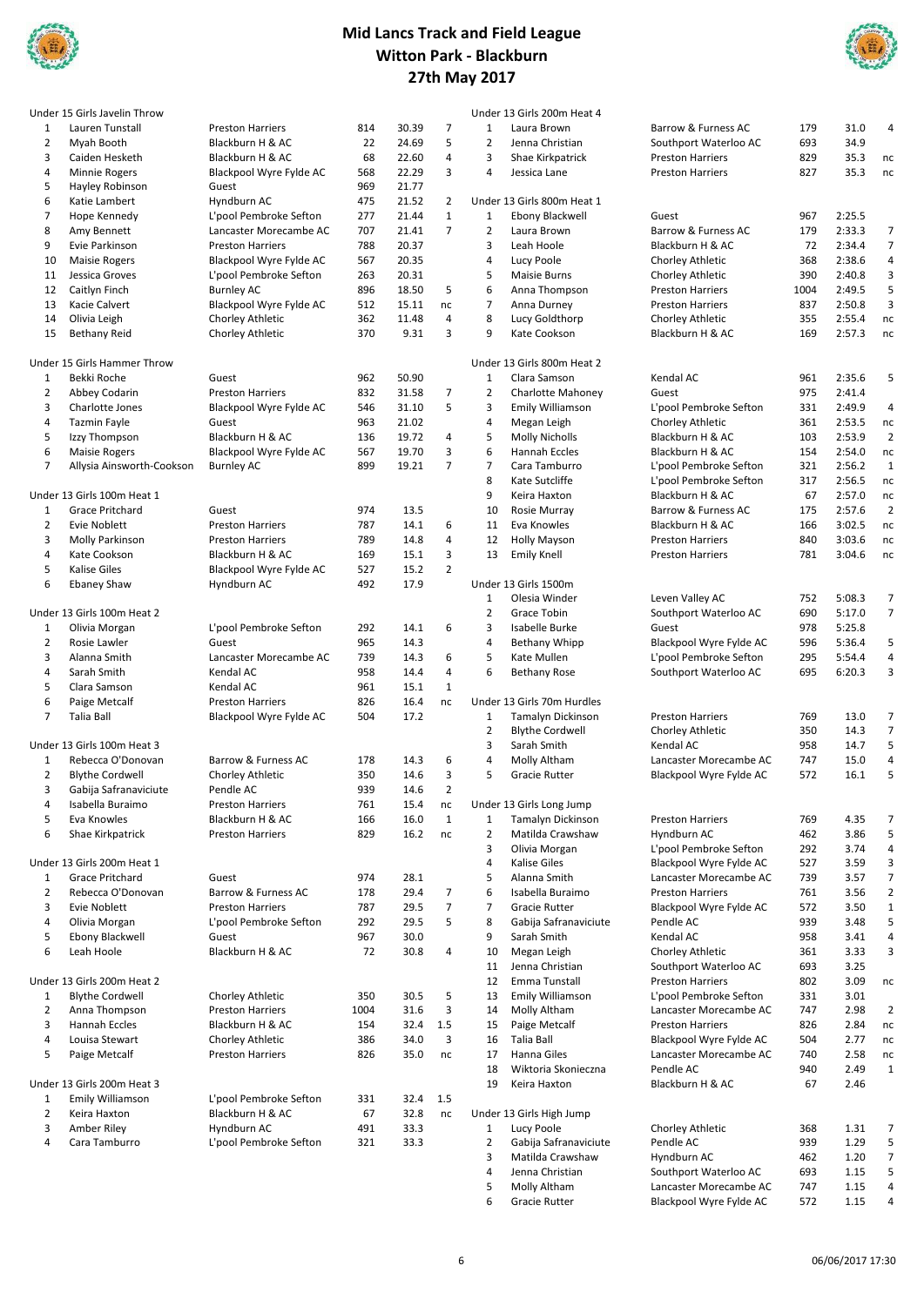



|                | Under 15 Girls Javelin Throw       |                         |      |       |                |                | Under 13 Girls 200m Heat 4 |                         |      |        |                |
|----------------|------------------------------------|-------------------------|------|-------|----------------|----------------|----------------------------|-------------------------|------|--------|----------------|
| 1              | Lauren Tunstall                    | <b>Preston Harriers</b> | 814  | 30.39 | $\overline{7}$ | $\mathbf 1$    | Laura Brown                | Barrow & Furness AC     | 179  | 31.0   | 4              |
| 2              | Myah Booth                         | Blackburn H & AC        | 22   | 24.69 | 5              | $\overline{2}$ | Jenna Christian            | Southport Waterloo AC   | 693  | 34.9   |                |
| 3              | Caiden Hesketh                     | Blackburn H & AC        | 68   | 22.60 | 4              | 3              | Shae Kirkpatrick           | <b>Preston Harriers</b> | 829  | 35.3   | nc             |
| 4              | Minnie Rogers                      | Blackpool Wyre Fylde AC | 568  | 22.29 | 3              | 4              | Jessica Lane               | <b>Preston Harriers</b> | 827  | 35.3   | nc             |
| 5              | Hayley Robinson                    | Guest                   | 969  | 21.77 |                |                |                            |                         |      |        |                |
| 6              | Katie Lambert                      | Hyndburn AC             | 475  | 21.52 | $\overline{2}$ |                | Under 13 Girls 800m Heat 1 |                         |      |        |                |
| $\overline{7}$ | Hope Kennedy                       | L'pool Pembroke Sefton  | 277  | 21.44 | $\mathbf{1}$   | $\mathbf{1}$   | Ebony Blackwell            | Guest                   | 967  | 2:25.5 |                |
| 8              | Amy Bennett                        | Lancaster Morecambe AC  | 707  | 21.41 | $\overline{7}$ | $\overline{2}$ | Laura Brown                | Barrow & Furness AC     | 179  | 2:33.3 | 7              |
| 9              | Evie Parkinson                     | <b>Preston Harriers</b> | 788  | 20.37 |                | 3              | Leah Hoole                 | Blackburn H & AC        | 72   | 2:34.4 | $\overline{7}$ |
| 10             | <b>Maisie Rogers</b>               | Blackpool Wyre Fylde AC | 567  | 20.35 |                | 4              | Lucy Poole                 | Chorley Athletic        | 368  | 2:38.6 | 4              |
| 11             | Jessica Groves                     | L'pool Pembroke Sefton  | 263  | 20.31 |                | 5              | <b>Maisie Burns</b>        | Chorley Athletic        | 390  | 2:40.8 | 3              |
| 12             | Caitlyn Finch                      | <b>Burnley AC</b>       | 896  | 18.50 | 5              | 6              | Anna Thompson              | <b>Preston Harriers</b> | 1004 | 2:49.5 | 5              |
| 13             | Kacie Calvert                      | Blackpool Wyre Fylde AC | 512  | 15.11 | nc             | $\overline{7}$ | Anna Durney                | <b>Preston Harriers</b> | 837  | 2:50.8 | 3              |
| 14             | Olivia Leigh                       | Chorley Athletic        | 362  | 11.48 | 4              | 8              | Lucy Goldthorp             | Chorley Athletic        | 355  | 2:55.4 | $\sf nc$       |
| 15             |                                    |                         | 370  | 9.31  | 3              | 9              | Kate Cookson               | Blackburn H & AC        | 169  | 2:57.3 | nc             |
|                | <b>Bethany Reid</b>                | Chorley Athletic        |      |       |                |                |                            |                         |      |        |                |
|                | Under 15 Girls Hammer Throw        |                         |      |       |                |                | Under 13 Girls 800m Heat 2 |                         |      |        |                |
| 1              | Bekki Roche                        |                         | 962  | 50.90 |                | $\mathbf{1}$   | Clara Samson               | Kendal AC               | 961  | 2:35.6 | 5              |
|                |                                    | Guest                   |      |       | $\overline{7}$ | $\overline{2}$ |                            | Guest                   | 975  |        |                |
| $\overline{2}$ | Abbey Codarin                      | <b>Preston Harriers</b> | 832  | 31.58 | 5              |                | <b>Charlotte Mahoney</b>   |                         |      | 2:41.4 |                |
| 3              | Charlotte Jones                    | Blackpool Wyre Fylde AC | 546  | 31.10 |                | 3              | <b>Emily Williamson</b>    | L'pool Pembroke Sefton  | 331  | 2:49.9 | 4              |
| 4              | <b>Tazmin Fayle</b>                | Guest                   | 963  | 21.02 |                | 4              | Megan Leigh                | Chorley Athletic        | 361  | 2:53.5 | nc             |
| 5              | Izzy Thompson                      | Blackburn H & AC        | 136  | 19.72 | 4              | 5              | <b>Molly Nicholls</b>      | Blackburn H & AC        | 103  | 2:53.9 | $\overline{2}$ |
| 6              | <b>Maisie Rogers</b>               | Blackpool Wyre Fylde AC | 567  | 19.70 | 3              | 6              | Hannah Eccles              | Blackburn H & AC        | 154  | 2:54.0 | nc             |
| $\overline{7}$ | Allysia Ainsworth-Cookson          | <b>Burnley AC</b>       | 899  | 19.21 | $\overline{7}$ | $\overline{7}$ | Cara Tamburro              | L'pool Pembroke Sefton  | 321  | 2:56.2 | $\mathbf{1}$   |
|                |                                    |                         |      |       |                | 8              | Kate Sutcliffe             | L'pool Pembroke Sefton  | 317  | 2:56.5 | nc             |
|                | Under 13 Girls 100m Heat 1         |                         |      |       |                | 9              | Keira Haxton               | Blackburn H & AC        | 67   | 2:57.0 | nc             |
| 1              | Grace Pritchard                    | Guest                   | 974  | 13.5  |                | 10             | Rosie Murray               | Barrow & Furness AC     | 175  | 2:57.6 | $\overline{2}$ |
| $\overline{2}$ | Evie Noblett                       | <b>Preston Harriers</b> | 787  | 14.1  | 6              | 11             | Eva Knowles                | Blackburn H & AC        | 166  | 3:02.5 | nc             |
| 3              | <b>Molly Parkinson</b>             | <b>Preston Harriers</b> | 789  | 14.8  | 4              | 12             | <b>Holly Mayson</b>        | <b>Preston Harriers</b> | 840  | 3:03.6 | nc             |
| 4              | Kate Cookson                       | Blackburn H & AC        | 169  | 15.1  | 3              | 13             | <b>Emily Knell</b>         | <b>Preston Harriers</b> | 781  | 3:04.6 | nc             |
| 5              | Kalise Giles                       | Blackpool Wyre Fylde AC | 527  | 15.2  | $\overline{2}$ |                |                            |                         |      |        |                |
| 6              | <b>Ebaney Shaw</b>                 | Hyndburn AC             | 492  | 17.9  |                |                | Under 13 Girls 1500m       |                         |      |        |                |
|                |                                    |                         |      |       |                | $\mathbf{1}$   | Olesia Winder              | Leven Valley AC         | 752  | 5:08.3 | $\overline{7}$ |
|                | Under 13 Girls 100m Heat 2         |                         |      |       |                | $\overline{2}$ | Grace Tobin                | Southport Waterloo AC   | 690  | 5:17.0 | $\overline{7}$ |
| $\mathbf{1}$   | Olivia Morgan                      | L'pool Pembroke Sefton  | 292  | 14.1  | 6              | 3              | Isabelle Burke             | Guest                   | 978  | 5:25.8 |                |
| $\overline{2}$ | Rosie Lawler                       | Guest                   | 965  | 14.3  |                | $\overline{4}$ | Bethany Whipp              | Blackpool Wyre Fylde AC | 596  | 5:36.4 | 5              |
| 3              | Alanna Smith                       | Lancaster Morecambe AC  | 739  | 14.3  | 6              | 5              | Kate Mullen                | L'pool Pembroke Sefton  | 295  | 5:54.4 | 4              |
| 4              | Sarah Smith                        | Kendal AC               | 958  | 14.4  | 4              | 6              | <b>Bethany Rose</b>        | Southport Waterloo AC   | 695  | 6:20.3 | 3              |
| 5              | Clara Samson                       | Kendal AC               | 961  | 15.1  | $\mathbf{1}$   |                |                            |                         |      |        |                |
| 6              |                                    | <b>Preston Harriers</b> | 826  | 16.4  | nc             |                | Under 13 Girls 70m Hurdles |                         |      |        |                |
| $\overline{7}$ | Paige Metcalf<br><b>Talia Ball</b> |                         | 504  | 17.2  |                |                |                            |                         |      |        |                |
|                |                                    | Blackpool Wyre Fylde AC |      |       |                | $\mathbf 1$    | Tamalyn Dickinson          | <b>Preston Harriers</b> | 769  | 13.0   | $\overline{7}$ |
|                |                                    |                         |      |       |                | $\overline{2}$ | <b>Blythe Cordwell</b>     | Chorley Athletic        | 350  | 14.3   | $\overline{7}$ |
|                | Under 13 Girls 100m Heat 3         |                         |      |       |                | 3              | Sarah Smith                | Kendal AC               | 958  | 14.7   | 5              |
| 1              | Rebecca O'Donovan                  | Barrow & Furness AC     | 178  | 14.3  | 6              | 4              | Molly Altham               | Lancaster Morecambe AC  | 747  | 15.0   | 4              |
| $\overline{2}$ | <b>Blythe Cordwell</b>             | Chorley Athletic        | 350  | 14.6  | 3              | 5              | <b>Gracie Rutter</b>       | Blackpool Wyre Fylde AC | 572  | 16.1   | 5              |
| 3              | Gabija Safranaviciute              | Pendle AC               | 939  | 14.6  | $\overline{2}$ |                |                            |                         |      |        |                |
| 4              | Isabella Buraimo                   | <b>Preston Harriers</b> | 761  | 15.4  | nc             |                | Under 13 Girls Long Jump   |                         |      |        |                |
| 5              | Eva Knowles                        | Blackburn H & AC        | 166  | 16.0  | $\mathbf{1}$   | $\mathbf{1}$   | Tamalyn Dickinson          | <b>Preston Harriers</b> | 769  | 4.35   | 7              |
| 6              | Shae Kirkpatrick                   | <b>Preston Harriers</b> | 829  | 16.2  | nc             | $\overline{2}$ | Matilda Crawshaw           | Hyndburn AC             | 462  | 3.86   | 5              |
|                |                                    |                         |      |       |                | 3              | Olivia Morgan              | L'pool Pembroke Sefton  | 292  | 3.74   | 4              |
|                | Under 13 Girls 200m Heat 1         |                         |      |       |                | 4              | <b>Kalise Giles</b>        | Blackpool Wyre Fylde AC | 527  | 3.59   | 3              |
| $\mathbf{1}$   | Grace Pritchard                    | Guest                   | 974  | 28.1  |                | 5              | Alanna Smith               | Lancaster Morecambe AC  | 739  | 3.57   | $\overline{7}$ |
| $\overline{2}$ | Rebecca O'Donovan                  | Barrow & Furness AC     | 178  | 29.4  | $\overline{7}$ | 6              | Isabella Buraimo           | <b>Preston Harriers</b> | 761  | 3.56   | $\overline{2}$ |
| 3              | Evie Noblett                       | <b>Preston Harriers</b> | 787  | 29.5  | $\overline{7}$ | $\overline{7}$ | Gracie Rutter              | Blackpool Wyre Fylde AC | 572  | 3.50   | $\mathbf 1$    |
| 4              | Olivia Morgan                      | L'pool Pembroke Sefton  | 292  | 29.5  | 5              | 8              | Gabija Safranaviciute      | Pendle AC               | 939  | 3.48   | 5              |
| 5              | Ebony Blackwell                    | Guest                   | 967  | 30.0  |                | 9              | Sarah Smith                | Kendal AC               | 958  | 3.41   | 4              |
| 6              | Leah Hoole                         | Blackburn H & AC        | 72   | 30.8  | 4              | 10             | Megan Leigh                | Chorley Athletic        | 361  | 3.33   | 3              |
|                |                                    |                         |      |       |                | 11             | Jenna Christian            | Southport Waterloo AC   | 693  | 3.25   |                |
|                | Under 13 Girls 200m Heat 2         |                         |      |       |                | 12             | Emma Tunstall              | <b>Preston Harriers</b> | 802  | 3.09   | nc             |
|                |                                    |                         |      |       |                |                |                            |                         |      |        |                |
| $\mathbf{1}$   | <b>Blythe Cordwell</b>             | Chorley Athletic        | 350  | 30.5  | 5              | 13             | <b>Emily Williamson</b>    | L'pool Pembroke Sefton  | 331  | 3.01   | $\overline{2}$ |
| 2              | Anna Thompson                      | <b>Preston Harriers</b> | 1004 | 31.6  | 3              | 14             | Molly Altham               | Lancaster Morecambe AC  | 747  | 2.98   |                |
| 3              | Hannah Eccles                      | Blackburn H & AC        | 154  | 32.4  | 1.5            | 15             | Paige Metcalf              | <b>Preston Harriers</b> | 826  | 2.84   | nc             |
| 4              | Louisa Stewart                     | Chorley Athletic        | 386  | 34.0  | 3              | 16             | <b>Talia Ball</b>          | Blackpool Wyre Fylde AC | 504  | 2.77   | nc             |
| 5              | Paige Metcalf                      | <b>Preston Harriers</b> | 826  | 35.0  | nc             | 17             | Hanna Giles                | Lancaster Morecambe AC  | 740  | 2.58   | nc             |
|                |                                    |                         |      |       |                | 18             | Wiktoria Skonieczna        | Pendle AC               | 940  | 2.49   | $\mathbf{1}$   |
|                | Under 13 Girls 200m Heat 3         |                         |      |       |                | 19             | Keira Haxton               | Blackburn H & AC        | 67   | 2.46   |                |
| $\mathbf{1}$   | <b>Emily Williamson</b>            | L'pool Pembroke Sefton  | 331  | 32.4  | 1.5            |                |                            |                         |      |        |                |
| 2              | Keira Haxton                       | Blackburn H & AC        | 67   | 32.8  | nc             |                | Under 13 Girls High Jump   |                         |      |        |                |
| 3              | Amber Riley                        | Hyndburn AC             | 491  | 33.3  |                | $\mathbf 1$    | Lucy Poole                 | Chorley Athletic        | 368  | 1.31   | $\overline{7}$ |
| 4              | Cara Tamburro                      | L'pool Pembroke Sefton  | 321  | 33.3  |                | $\overline{2}$ | Gabija Safranaviciute      | Pendle AC               | 939  | 1.29   | 5              |
|                |                                    |                         |      |       |                | 3              | Matilda Crawshaw           | Hyndburn AC             | 462  | 1.20   | $\overline{7}$ |
|                |                                    |                         |      |       |                | 4              | Jenna Christian            | Southport Waterloo AC   | 693  | 1.15   | 5              |
|                |                                    |                         |      |       |                | 5              | Molly Altham               | Lancaster Morecambe AC  | 747  | 1.15   | 4              |
|                |                                    |                         |      |       |                | 6              | <b>Gracie Rutter</b>       | Blackpool Wyre Fylde AC | 572  | 1.15   | 4              |

Blackpool Wyre Fylde AC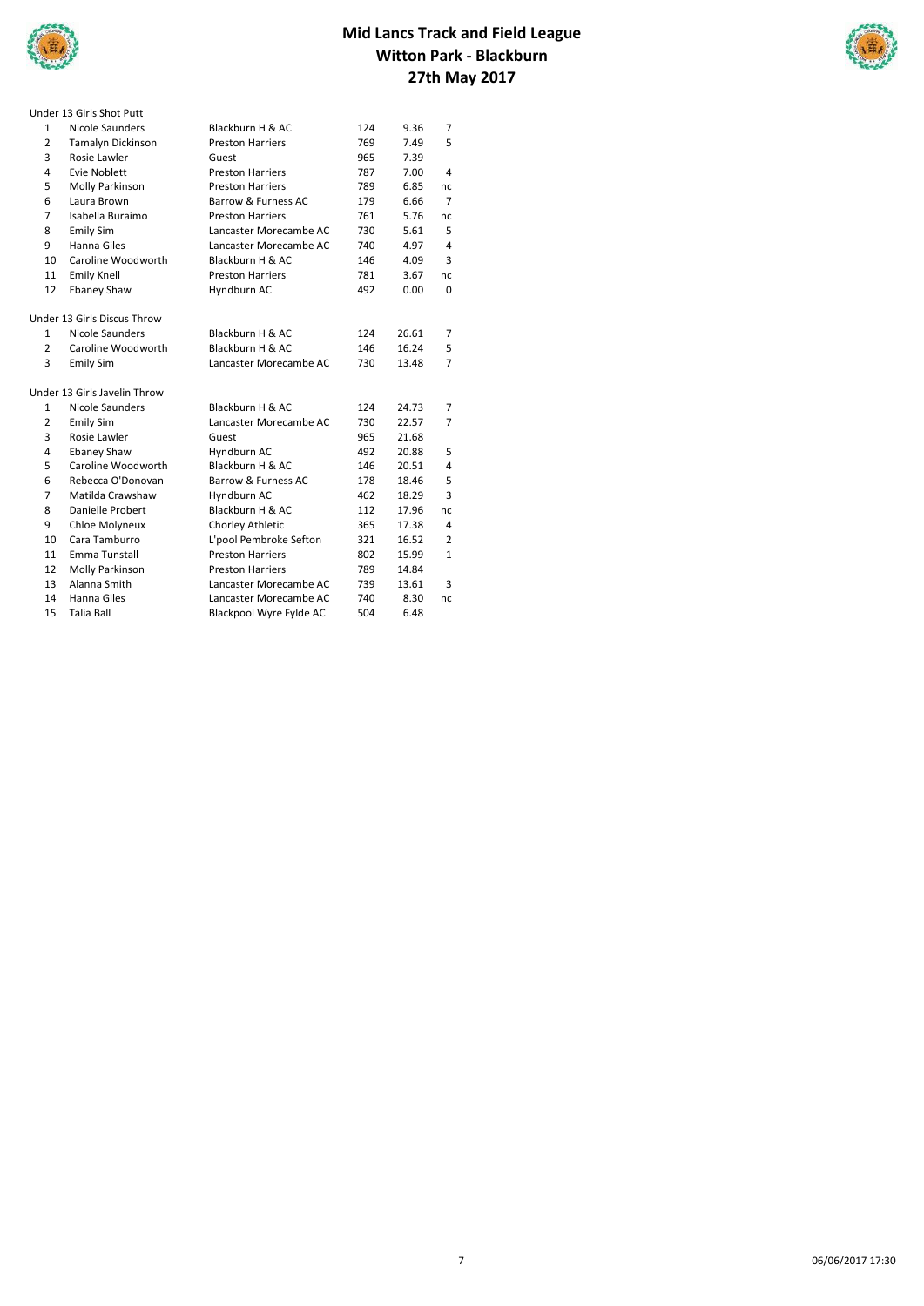



|                         | Under 13 Girls Shot Putt     |                         |     |       |                |
|-------------------------|------------------------------|-------------------------|-----|-------|----------------|
| 1                       | Nicole Saunders              | Blackburn H & AC        | 124 | 9.36  | $\overline{7}$ |
| $\overline{2}$          | Tamalyn Dickinson            | <b>Preston Harriers</b> | 769 | 7.49  | 5              |
| 3                       | Rosie Lawler                 | Guest                   | 965 | 7.39  |                |
| 4                       | Evie Noblett                 | <b>Preston Harriers</b> | 787 | 7.00  | 4              |
| 5                       | Molly Parkinson              | <b>Preston Harriers</b> | 789 | 6.85  | nc             |
| 6                       | Laura Brown                  | Barrow & Furness AC     | 179 | 6.66  | 7              |
| $\overline{7}$          | Isabella Buraimo             | <b>Preston Harriers</b> | 761 | 5.76  | nc             |
| 8                       | Emily Sim                    | Lancaster Morecambe AC  | 730 | 5.61  | 5              |
| 9                       | Hanna Giles                  | Lancaster Morecambe AC  | 740 | 4.97  | 4              |
| 10                      | Caroline Woodworth           | Blackburn H & AC        | 146 | 4.09  | 3              |
| 11                      | <b>Emily Knell</b>           | <b>Preston Harriers</b> | 781 | 3.67  | nc.            |
| 12                      | <b>Ebaney Shaw</b>           | Hyndburn AC             | 492 | 0.00  | 0              |
|                         |                              |                         |     |       |                |
|                         | Under 13 Girls Discus Throw  |                         |     |       |                |
| $\mathbf{1}$            | Nicole Saunders              | Blackburn H & AC        | 124 | 26.61 | 7              |
| $\overline{2}$          | Caroline Woodworth           | Blackburn H & AC        | 146 | 16.24 | 5              |
| 3                       | <b>Emily Sim</b>             | Lancaster Morecambe AC  | 730 | 13.48 | 7              |
|                         | Under 13 Girls Javelin Throw |                         |     |       |                |
| $\mathbf{1}$            | Nicole Saunders              | Blackburn H & AC        | 124 | 24.73 | 7              |
| $\overline{2}$          | Emily Sim                    | Lancaster Morecambe AC  | 730 | 22.57 | $\overline{7}$ |
| 3                       | Rosie Lawler                 | Guest                   | 965 | 21.68 |                |
| $\overline{\mathbf{4}}$ | <b>Ebaney Shaw</b>           | Hyndburn AC             | 492 | 20.88 | 5              |
| 5                       | Caroline Woodworth           | Blackburn H & AC        | 146 | 20.51 | 4              |
| 6                       | Rebecca O'Donovan            | Barrow & Furness AC     | 178 | 18.46 | 5              |
| $\overline{7}$          | Matilda Crawshaw             | Hyndburn AC             | 462 | 18.29 | 3              |
| 8                       | Danielle Probert             | Blackburn H & AC        | 112 | 17.96 | nc             |
| 9                       | Chloe Molyneux               | Chorley Athletic        | 365 | 17.38 | 4              |
| 10                      | Cara Tamburro                | L'pool Pembroke Sefton  | 321 | 16.52 | 2              |
| 11                      | Emma Tunstall                | <b>Preston Harriers</b> | 802 | 15.99 | $\mathbf{1}$   |
| 12                      | Molly Parkinson              | <b>Preston Harriers</b> | 789 | 14.84 |                |
| 13                      | Alanna Smith                 | Lancaster Morecambe AC  | 739 | 13.61 | 3              |
| 14                      | Hanna Giles                  | Lancaster Morecambe AC  | 740 | 8.30  | nc             |
| 15                      | Talia Ball                   | Blackpool Wyre Fylde AC | 504 | 6.48  |                |
|                         |                              |                         |     |       |                |